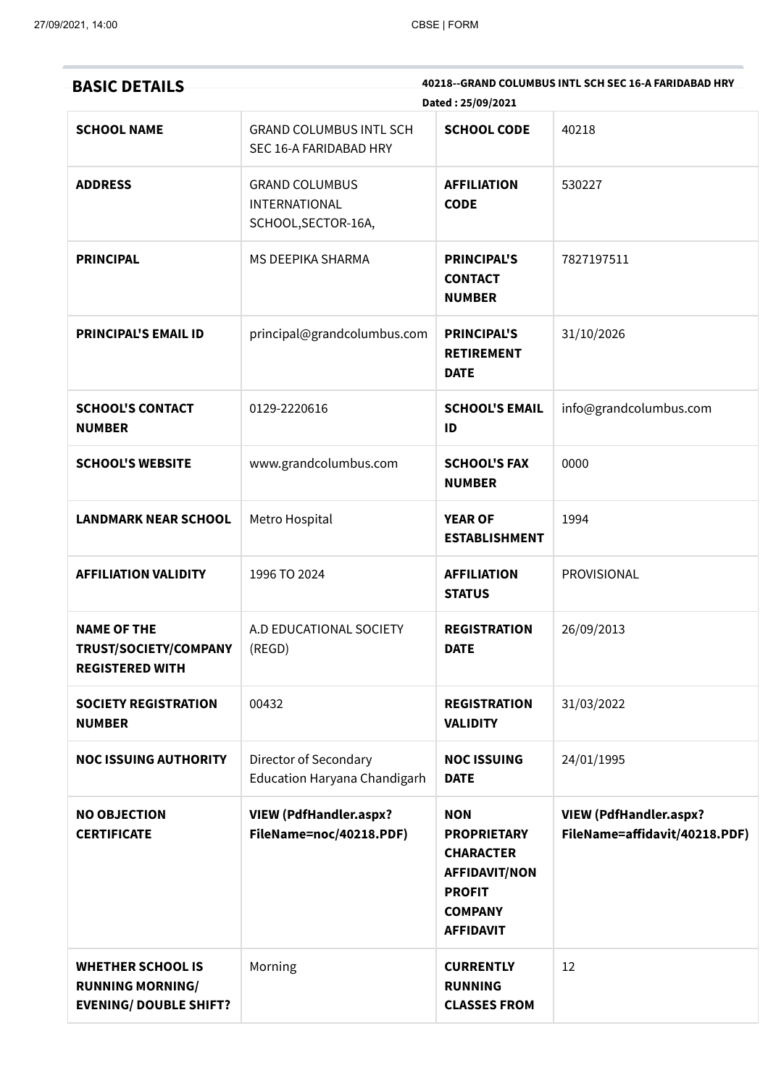| <b>BASIC DETAILS</b>                                                                 |                                                                      | Dated: 25/09/2021                                                                                                                   | 40218--GRAND COLUMBUS INTL SCH SEC 16-A FARIDABAD HRY          |
|--------------------------------------------------------------------------------------|----------------------------------------------------------------------|-------------------------------------------------------------------------------------------------------------------------------------|----------------------------------------------------------------|
| <b>SCHOOL NAME</b>                                                                   | <b>GRAND COLUMBUS INTL SCH</b><br>SEC 16-A FARIDABAD HRY             | <b>SCHOOL CODE</b>                                                                                                                  | 40218                                                          |
| <b>ADDRESS</b>                                                                       | <b>GRAND COLUMBUS</b><br><b>INTERNATIONAL</b><br>SCHOOL, SECTOR-16A, | <b>AFFILIATION</b><br><b>CODE</b>                                                                                                   | 530227                                                         |
| <b>PRINCIPAL</b>                                                                     | MS DEEPIKA SHARMA                                                    | <b>PRINCIPAL'S</b><br><b>CONTACT</b><br><b>NUMBER</b>                                                                               | 7827197511                                                     |
| <b>PRINCIPAL'S EMAIL ID</b>                                                          | principal@grandcolumbus.com                                          | <b>PRINCIPAL'S</b><br><b>RETIREMENT</b><br><b>DATE</b>                                                                              | 31/10/2026                                                     |
| <b>SCHOOL'S CONTACT</b><br><b>NUMBER</b>                                             | 0129-2220616                                                         | <b>SCHOOL'S EMAIL</b><br>ID                                                                                                         | info@grandcolumbus.com                                         |
| <b>SCHOOL'S WEBSITE</b>                                                              | www.grandcolumbus.com                                                | <b>SCHOOL'S FAX</b><br><b>NUMBER</b>                                                                                                | 0000                                                           |
| <b>LANDMARK NEAR SCHOOL</b>                                                          | Metro Hospital                                                       | <b>YEAR OF</b><br><b>ESTABLISHMENT</b>                                                                                              | 1994                                                           |
| <b>AFFILIATION VALIDITY</b>                                                          | 1996 TO 2024                                                         | <b>AFFILIATION</b><br><b>STATUS</b>                                                                                                 | PROVISIONAL                                                    |
| <b>NAME OF THE</b><br>TRUST/SOCIETY/COMPANY<br><b>REGISTERED WITH</b>                | A.D EDUCATIONAL SOCIETY<br>(REGD)                                    | <b>REGISTRATION</b><br><b>DATE</b>                                                                                                  | 26/09/2013                                                     |
| <b>SOCIETY REGISTRATION</b><br><b>NUMBER</b>                                         | 00432                                                                | <b>REGISTRATION</b><br><b>VALIDITY</b>                                                                                              | 31/03/2022                                                     |
| <b>NOC ISSUING AUTHORITY</b>                                                         | Director of Secondary<br>Education Haryana Chandigarh                | <b>NOC ISSUING</b><br><b>DATE</b>                                                                                                   | 24/01/1995                                                     |
| <b>NO OBJECTION</b><br><b>CERTIFICATE</b>                                            | <b>VIEW (PdfHandler.aspx?</b><br>FileName=noc/40218.PDF)             | <b>NON</b><br><b>PROPRIETARY</b><br><b>CHARACTER</b><br><b>AFFIDAVIT/NON</b><br><b>PROFIT</b><br><b>COMPANY</b><br><b>AFFIDAVIT</b> | <b>VIEW (PdfHandler.aspx?</b><br>FileName=affidavit/40218.PDF) |
| <b>WHETHER SCHOOL IS</b><br><b>RUNNING MORNING/</b><br><b>EVENING/ DOUBLE SHIFT?</b> | Morning                                                              | <b>CURRENTLY</b><br><b>RUNNING</b><br><b>CLASSES FROM</b>                                                                           | 12                                                             |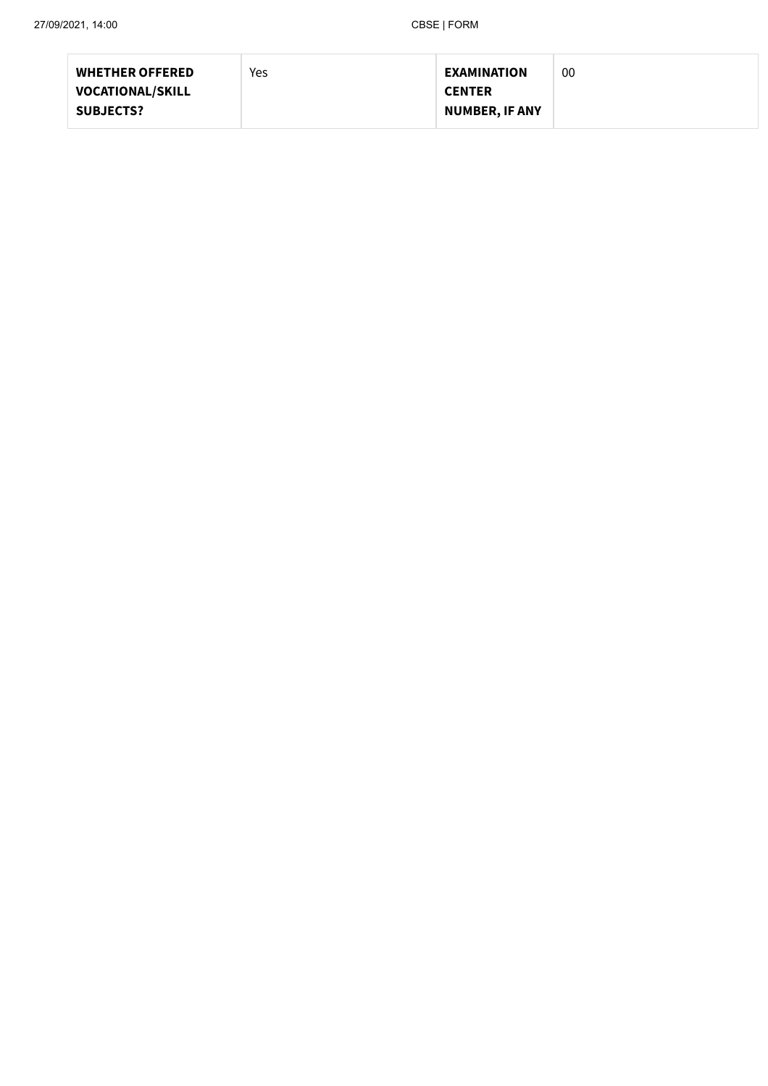| <b>WHETHER OFFERED</b>  | Yes | <b>EXAMINATION</b>    | 00 |
|-------------------------|-----|-----------------------|----|
| <b>VOCATIONAL/SKILL</b> |     | <b>CENTER</b>         |    |
| <b>SUBJECTS?</b>        |     | <b>NUMBER, IF ANY</b> |    |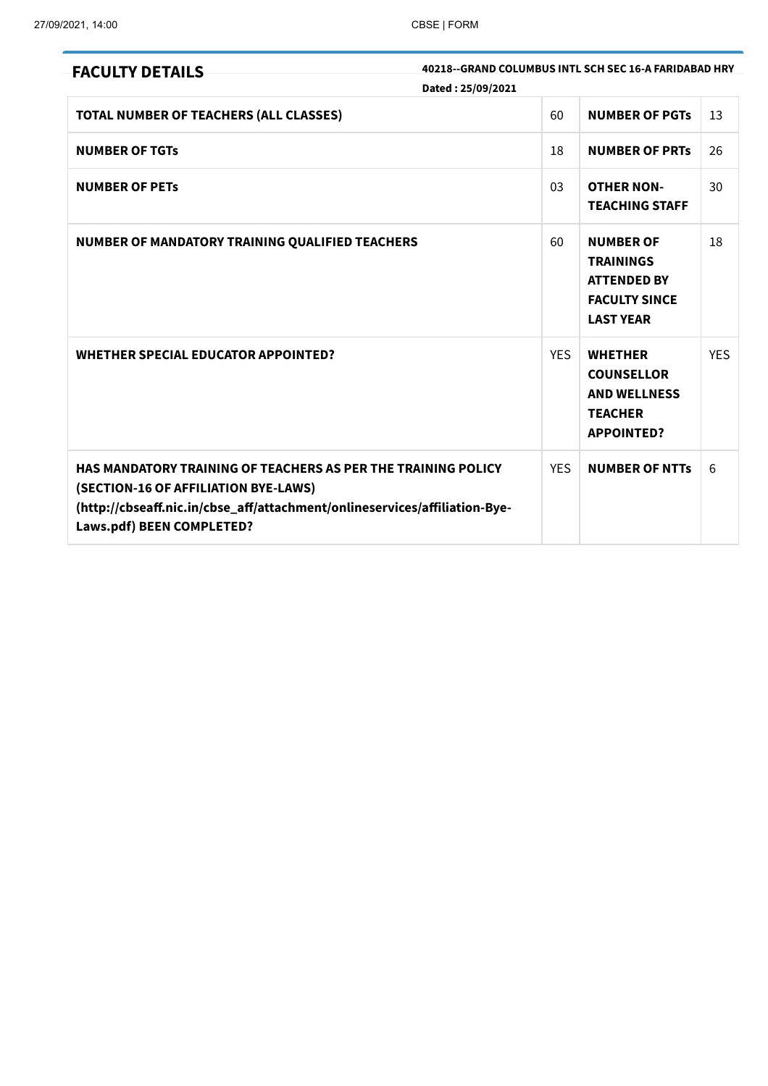| 40218--GRAND COLUMBUS INTL SCH SEC 16-A FARIDABAD HRY<br><b>FACULTY DETAILS</b><br>Dated: 25/09/2021                                                                                                                           |            |                                                                                                        |            |
|--------------------------------------------------------------------------------------------------------------------------------------------------------------------------------------------------------------------------------|------------|--------------------------------------------------------------------------------------------------------|------------|
| TOTAL NUMBER OF TEACHERS (ALL CLASSES)                                                                                                                                                                                         | 60         | <b>NUMBER OF PGTS</b>                                                                                  | 13         |
| <b>NUMBER OF TGTS</b>                                                                                                                                                                                                          | 18         | <b>NUMBER OF PRTS</b>                                                                                  | 26         |
| <b>NUMBER OF PETS</b>                                                                                                                                                                                                          | 03         | <b>OTHER NON-</b><br><b>TEACHING STAFF</b>                                                             | 30         |
| NUMBER OF MANDATORY TRAINING QUALIFIED TEACHERS                                                                                                                                                                                | 60         | <b>NUMBER OF</b><br><b>TRAININGS</b><br><b>ATTENDED BY</b><br><b>FACULTY SINCE</b><br><b>LAST YEAR</b> | 18         |
| <b>WHETHER SPECIAL EDUCATOR APPOINTED?</b>                                                                                                                                                                                     | <b>YES</b> | <b>WHETHER</b><br><b>COUNSELLOR</b><br><b>AND WELLNESS</b><br><b>TEACHER</b><br><b>APPOINTED?</b>      | <b>YES</b> |
| <b>HAS MANDATORY TRAINING OF TEACHERS AS PER THE TRAINING POLICY</b><br>(SECTION-16 OF AFFILIATION BYE-LAWS)<br>(http://cbseaff.nic.in/cbse_aff/attachment/onlineservices/affiliation-Bye-<br><b>Laws.pdf) BEEN COMPLETED?</b> | <b>YES</b> | <b>NUMBER OF NTTs</b>                                                                                  | 6          |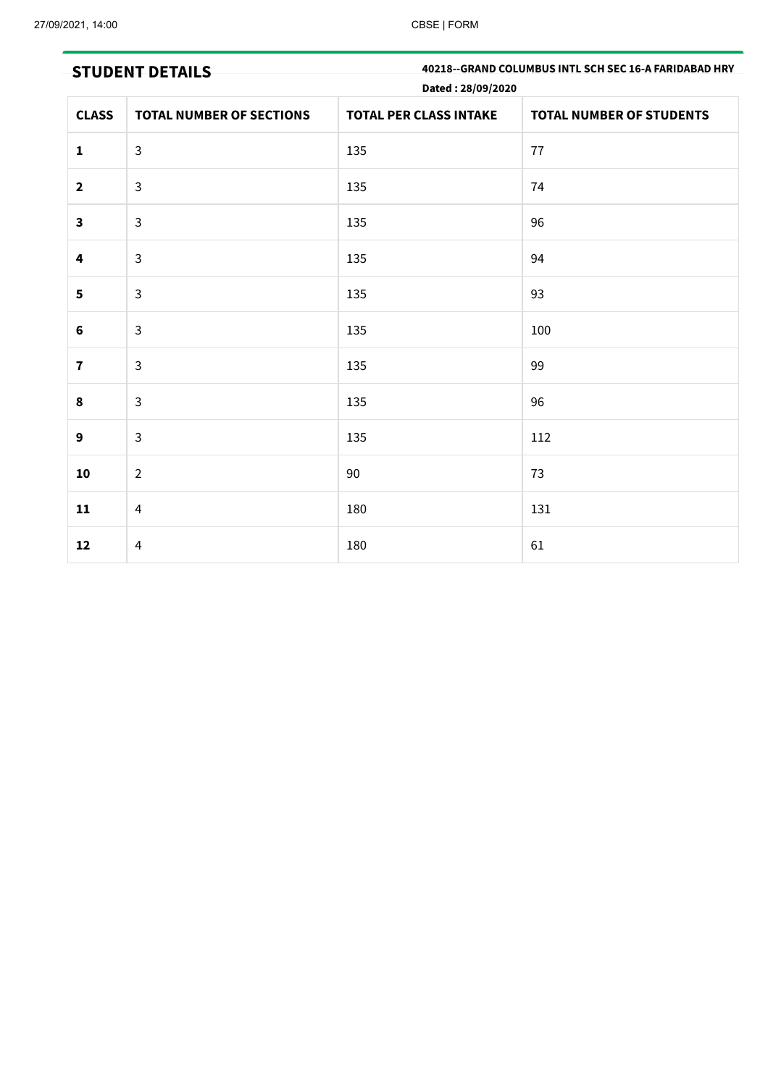| <b>STUDENT DETAILS</b>  |                                 | 40218--GRAND COLUMBUS INTL SCH SEC 16-A FARIDABAD HRY<br>Dated: 28/09/2020 |                                 |  |
|-------------------------|---------------------------------|----------------------------------------------------------------------------|---------------------------------|--|
| <b>CLASS</b>            | <b>TOTAL NUMBER OF SECTIONS</b> | <b>TOTAL PER CLASS INTAKE</b>                                              | <b>TOTAL NUMBER OF STUDENTS</b> |  |
| $\mathbf{1}$            | $\mathsf{3}$                    | 135                                                                        | 77                              |  |
| $\overline{\mathbf{2}}$ | $\mathsf{3}$                    | 135                                                                        | 74                              |  |
| $\mathbf{3}$            | $\mathsf{3}$                    | 135                                                                        | 96                              |  |
| 4                       | $\mathsf{3}$                    | 135                                                                        | 94                              |  |
| 5                       | $\mathsf{3}$                    | 135                                                                        | 93                              |  |
| $\bf 6$                 | $\mathsf{3}$                    | 135                                                                        | 100                             |  |
| $\mathbf 7$             | $\mathsf{3}$                    | 135                                                                        | 99                              |  |
| 8                       | $\mathsf{3}$                    | 135                                                                        | 96                              |  |
| 9                       | $\mathsf{3}$                    | 135                                                                        | 112                             |  |
| 10                      | $\overline{2}$                  | 90                                                                         | 73                              |  |
| 11                      | 4                               | 180                                                                        | 131                             |  |
| 12                      | $\overline{4}$                  | 180                                                                        | 61                              |  |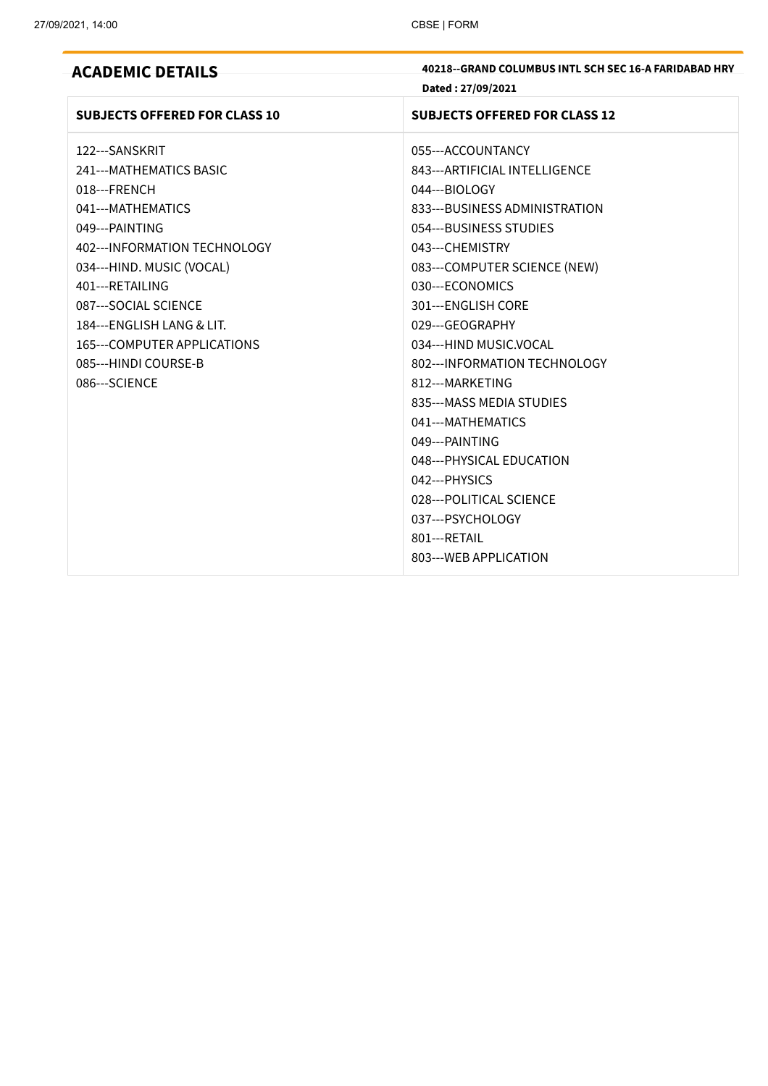| <b>ACADEMIC DETAILS</b>              | 40218--GRAND COLUMBUS INTL SCH SEC 16-A FARIDABAD HRY |
|--------------------------------------|-------------------------------------------------------|
|                                      | Dated: 27/09/2021                                     |
| <b>SUBJECTS OFFERED FOR CLASS 10</b> | <b>SUBJECTS OFFERED FOR CLASS 12</b>                  |
| 122---SANSKRIT                       | 055---ACCOUNTANCY                                     |
| 241--- MATHEMATICS BASIC             | 843--- ARTIFICIAL INTELLIGENCE                        |
| 018---FRENCH                         | 044---BIOLOGY                                         |
| 041---MATHEMATICS                    | 833---BUSINESS ADMINISTRATION                         |
| 049---PAINTING                       | 054---BUSINESS STUDIES                                |
| 402--- INFORMATION TECHNOLOGY        | 043---CHEMISTRY                                       |
| 034---HIND. MUSIC (VOCAL)            | 083---COMPUTER SCIENCE (NEW)                          |
| 401---RETAILING                      | 030---ECONOMICS                                       |
| 087---SOCIAL SCIENCE                 | 301---ENGLISH CORE                                    |
| 184---ENGLISH LANG & LIT.            | 029---GEOGRAPHY                                       |
| 165---COMPUTER APPLICATIONS          | 034---HIND MUSIC.VOCAL                                |
| 085---HINDI COURSE-B                 | 802--- INFORMATION TECHNOLOGY                         |
| 086---SCIENCE                        | 812---MARKETING                                       |
|                                      | 835---MASS MEDIA STUDIES                              |
|                                      | 041---MATHEMATICS                                     |
|                                      | 049---PAINTING                                        |
|                                      | 048--- PHYSICAL EDUCATION                             |
|                                      | 042--- PHYSICS                                        |
|                                      | 028---POLITICAL SCIENCE                               |
|                                      | 037---PSYCHOLOGY                                      |
|                                      | 801---RETAIL                                          |
|                                      | 803--- WEB APPLICATION                                |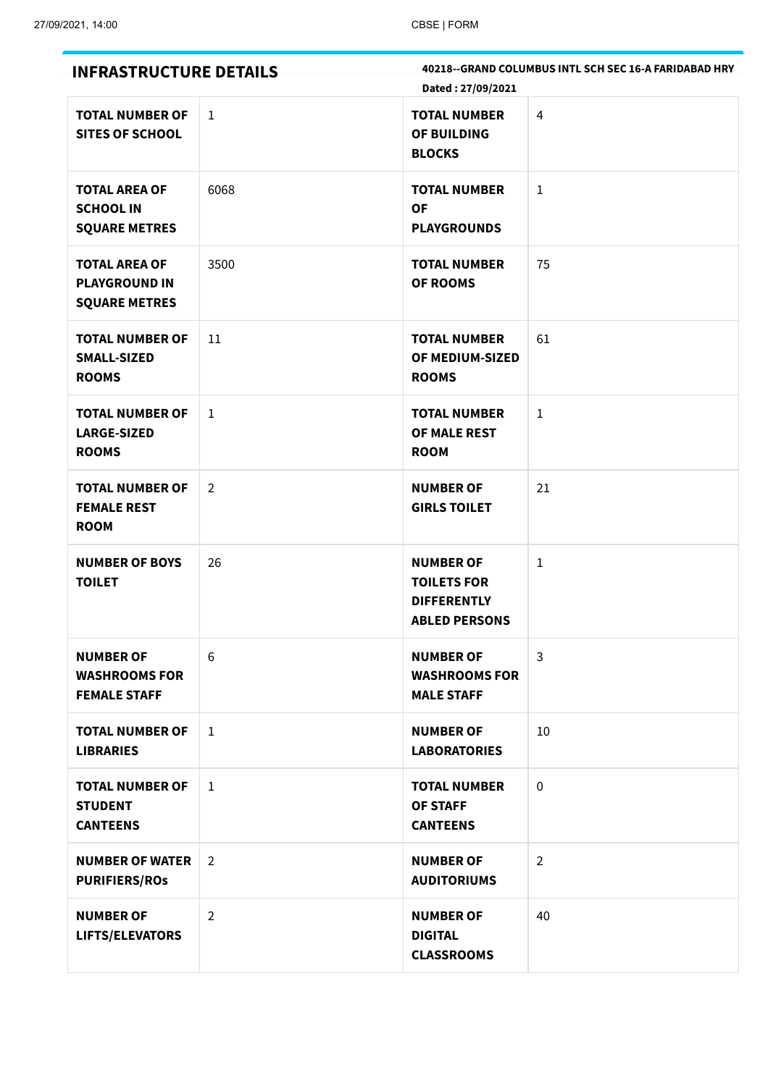| <b>INFRASTRUCTURE DETAILS</b>                                        |                | Dated: 27/09/2021                                                                    | 40218--GRAND COLUMBUS INTL SCH SEC 16-A FARIDABAD HRY |
|----------------------------------------------------------------------|----------------|--------------------------------------------------------------------------------------|-------------------------------------------------------|
| <b>TOTAL NUMBER OF</b><br><b>SITES OF SCHOOL</b>                     | $\mathbf{1}$   | <b>TOTAL NUMBER</b><br>OF BUILDING<br><b>BLOCKS</b>                                  | 4                                                     |
| <b>TOTAL AREA OF</b><br><b>SCHOOL IN</b><br><b>SQUARE METRES</b>     | 6068           | <b>TOTAL NUMBER</b><br><b>OF</b><br><b>PLAYGROUNDS</b>                               | $\mathbf{1}$                                          |
| <b>TOTAL AREA OF</b><br><b>PLAYGROUND IN</b><br><b>SQUARE METRES</b> | 3500           | <b>TOTAL NUMBER</b><br><b>OF ROOMS</b>                                               | 75                                                    |
| <b>TOTAL NUMBER OF</b><br><b>SMALL-SIZED</b><br><b>ROOMS</b>         | 11             | <b>TOTAL NUMBER</b><br>OF MEDIUM-SIZED<br><b>ROOMS</b>                               | 61                                                    |
| <b>TOTAL NUMBER OF</b><br><b>LARGE-SIZED</b><br><b>ROOMS</b>         | $1\,$          | <b>TOTAL NUMBER</b><br>OF MALE REST<br><b>ROOM</b>                                   | $\mathbf{1}$                                          |
| <b>TOTAL NUMBER OF</b><br><b>FEMALE REST</b><br><b>ROOM</b>          | $\overline{2}$ | <b>NUMBER OF</b><br><b>GIRLS TOILET</b>                                              | 21                                                    |
| <b>NUMBER OF BOYS</b><br><b>TOILET</b>                               | 26             | <b>NUMBER OF</b><br><b>TOILETS FOR</b><br><b>DIFFERENTLY</b><br><b>ABLED PERSONS</b> | $\mathbf{1}$                                          |
| <b>NUMBER OF</b><br><b>WASHROOMS FOR</b><br><b>FEMALE STAFF</b>      | 6              | <b>NUMBER OF</b><br><b>WASHROOMS FOR</b><br><b>MALE STAFF</b>                        | $\mathbf{3}$                                          |
| <b>TOTAL NUMBER OF</b><br><b>LIBRARIES</b>                           | $\mathbf{1}$   | <b>NUMBER OF</b><br><b>LABORATORIES</b>                                              | 10                                                    |
| <b>TOTAL NUMBER OF</b><br><b>STUDENT</b><br><b>CANTEENS</b>          | $\mathbf{1}$   | <b>TOTAL NUMBER</b><br><b>OF STAFF</b><br><b>CANTEENS</b>                            | $\mathbf 0$                                           |
| <b>NUMBER OF WATER</b><br><b>PURIFIERS/ROS</b>                       | $\overline{2}$ | <b>NUMBER OF</b><br><b>AUDITORIUMS</b>                                               | $\overline{2}$                                        |
| <b>NUMBER OF</b><br>LIFTS/ELEVATORS                                  | $\overline{2}$ | <b>NUMBER OF</b><br><b>DIGITAL</b><br><b>CLASSROOMS</b>                              | 40                                                    |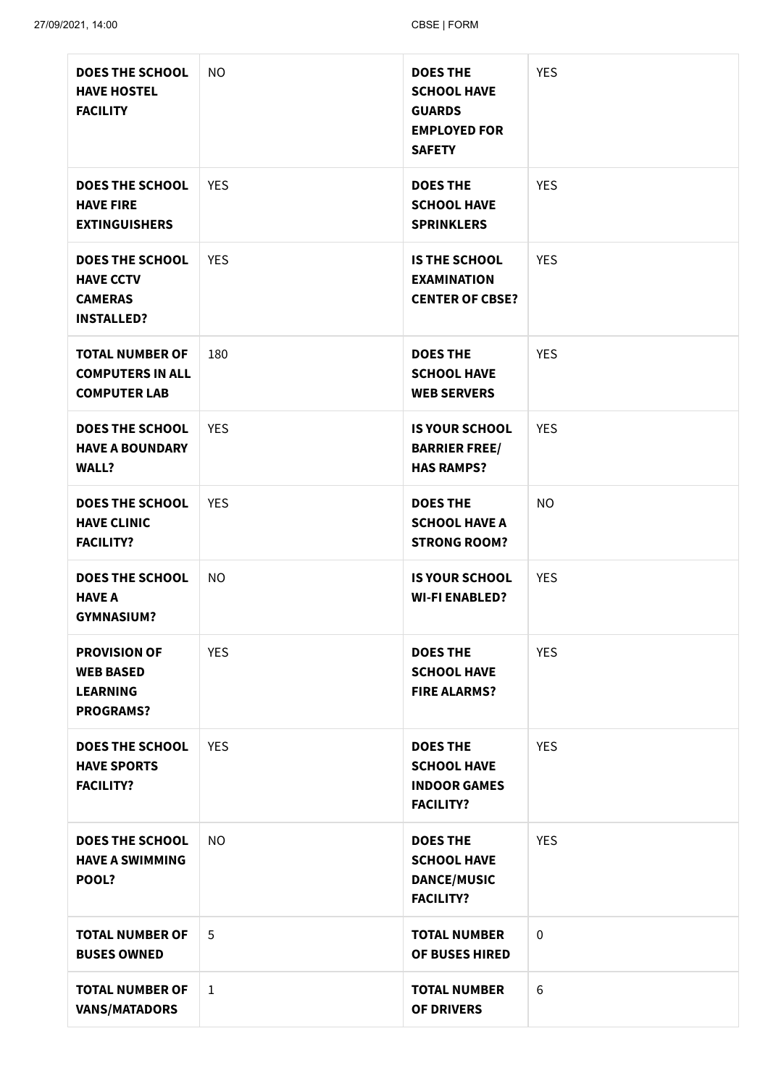| <b>DOES THE SCHOOL</b><br><b>HAVE HOSTEL</b><br><b>FACILITY</b>                   | <b>NO</b>    | <b>DOES THE</b><br><b>SCHOOL HAVE</b><br><b>GUARDS</b><br><b>EMPLOYED FOR</b><br><b>SAFETY</b> | <b>YES</b>      |
|-----------------------------------------------------------------------------------|--------------|------------------------------------------------------------------------------------------------|-----------------|
| <b>DOES THE SCHOOL</b><br><b>HAVE FIRE</b><br><b>EXTINGUISHERS</b>                | <b>YES</b>   | <b>DOES THE</b><br><b>SCHOOL HAVE</b><br><b>SPRINKLERS</b>                                     | <b>YES</b>      |
| <b>DOES THE SCHOOL</b><br><b>HAVE CCTV</b><br><b>CAMERAS</b><br><b>INSTALLED?</b> | <b>YES</b>   | <b>IS THE SCHOOL</b><br><b>EXAMINATION</b><br><b>CENTER OF CBSE?</b>                           | <b>YES</b>      |
| <b>TOTAL NUMBER OF</b><br><b>COMPUTERS IN ALL</b><br><b>COMPUTER LAB</b>          | 180          | <b>DOES THE</b><br><b>SCHOOL HAVE</b><br><b>WEB SERVERS</b>                                    | <b>YES</b>      |
| <b>DOES THE SCHOOL</b><br><b>HAVE A BOUNDARY</b><br><b>WALL?</b>                  | <b>YES</b>   | <b>IS YOUR SCHOOL</b><br><b>BARRIER FREE/</b><br><b>HAS RAMPS?</b>                             | <b>YES</b>      |
| <b>DOES THE SCHOOL</b><br><b>HAVE CLINIC</b><br><b>FACILITY?</b>                  | <b>YES</b>   | <b>DOES THE</b><br><b>SCHOOL HAVE A</b><br><b>STRONG ROOM?</b>                                 | <b>NO</b>       |
| <b>DOES THE SCHOOL</b><br><b>HAVE A</b><br><b>GYMNASIUM?</b>                      | <b>NO</b>    | <b>IS YOUR SCHOOL</b><br><b>WI-FI ENABLED?</b>                                                 | <b>YES</b>      |
| <b>PROVISION OF</b><br><b>WEB BASED</b><br><b>LEARNING</b><br><b>PROGRAMS?</b>    | <b>YES</b>   | <b>DOES THE</b><br><b>SCHOOL HAVE</b><br><b>FIRE ALARMS?</b>                                   | <b>YES</b>      |
| <b>DOES THE SCHOOL</b><br><b>HAVE SPORTS</b><br><b>FACILITY?</b>                  | <b>YES</b>   | <b>DOES THE</b><br><b>SCHOOL HAVE</b><br><b>INDOOR GAMES</b><br><b>FACILITY?</b>               | <b>YES</b>      |
| <b>DOES THE SCHOOL</b><br><b>HAVE A SWIMMING</b><br>POOL?                         | <b>NO</b>    | <b>DOES THE</b><br><b>SCHOOL HAVE</b><br><b>DANCE/MUSIC</b><br><b>FACILITY?</b>                | <b>YES</b>      |
| <b>TOTAL NUMBER OF</b><br><b>BUSES OWNED</b>                                      | 5            | <b>TOTAL NUMBER</b><br>OF BUSES HIRED                                                          | $\mathbf 0$     |
| <b>TOTAL NUMBER OF</b><br><b>VANS/MATADORS</b>                                    | $\mathbf{1}$ | <b>TOTAL NUMBER</b><br><b>OF DRIVERS</b>                                                       | $6\phantom{1}6$ |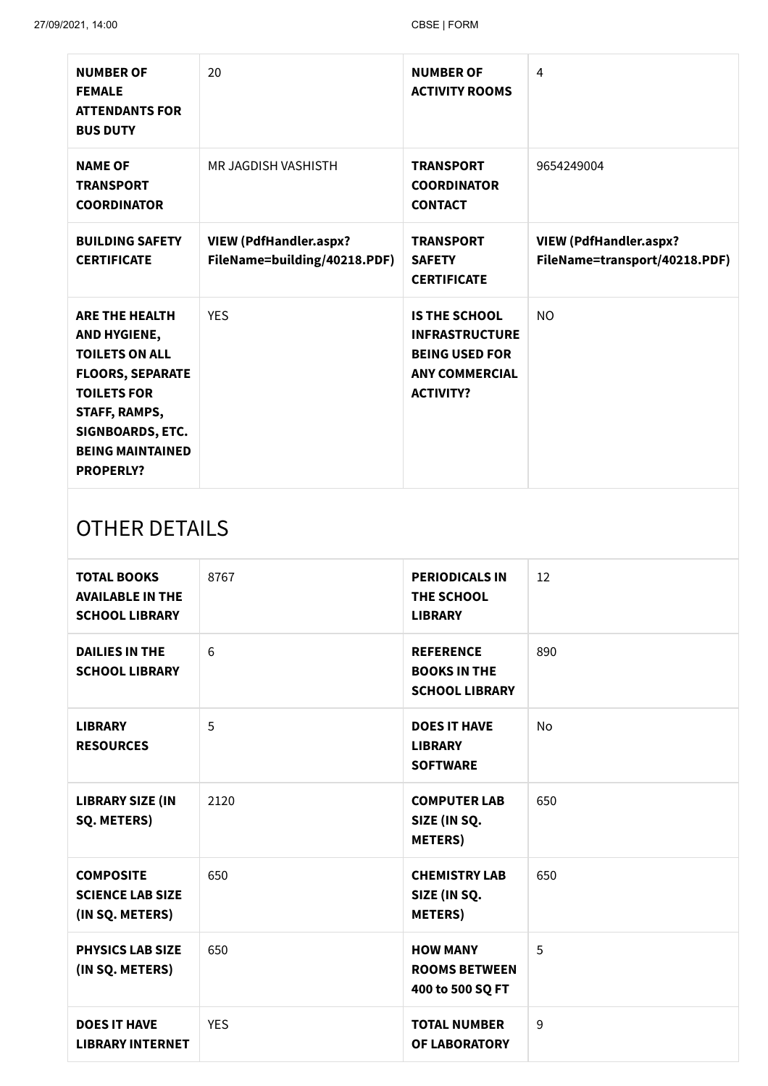| <b>NUMBER OF</b><br><b>FEMALE</b><br><b>ATTENDANTS FOR</b><br><b>BUS DUTY</b>                                                                                                                       | 20                                                            | <b>NUMBER OF</b><br><b>ACTIVITY ROOMS</b>                                                                           | $\overline{4}$                                                 |
|-----------------------------------------------------------------------------------------------------------------------------------------------------------------------------------------------------|---------------------------------------------------------------|---------------------------------------------------------------------------------------------------------------------|----------------------------------------------------------------|
| <b>NAME OF</b><br><b>TRANSPORT</b><br><b>COORDINATOR</b>                                                                                                                                            | MR JAGDISH VASHISTH                                           | <b>TRANSPORT</b><br><b>COORDINATOR</b><br><b>CONTACT</b>                                                            | 9654249004                                                     |
| <b>BUILDING SAFETY</b><br><b>CERTIFICATE</b>                                                                                                                                                        | <b>VIEW (PdfHandler.aspx?</b><br>FileName=building/40218.PDF) | <b>TRANSPORT</b><br><b>SAFETY</b><br><b>CERTIFICATE</b>                                                             | <b>VIEW (PdfHandler.aspx?</b><br>FileName=transport/40218.PDF) |
| <b>ARE THE HEALTH</b><br>AND HYGIENE,<br><b>TOILETS ON ALL</b><br><b>FLOORS, SEPARATE</b><br><b>TOILETS FOR</b><br>STAFF, RAMPS,<br>SIGNBOARDS, ETC.<br><b>BEING MAINTAINED</b><br><b>PROPERLY?</b> | <b>YES</b>                                                    | <b>IS THE SCHOOL</b><br><b>INFRASTRUCTURE</b><br><b>BEING USED FOR</b><br><b>ANY COMMERCIAL</b><br><b>ACTIVITY?</b> | <b>NO</b>                                                      |
| OTHER DETAILS                                                                                                                                                                                       |                                                               |                                                                                                                     |                                                                |

# OTHER DETAILS

| <b>TOTAL BOOKS</b><br><b>AVAILABLE IN THE</b><br><b>SCHOOL LIBRARY</b> | 8767       | <b>PERIODICALS IN</b><br>THE SCHOOL<br><b>LIBRARY</b>            | 12        |
|------------------------------------------------------------------------|------------|------------------------------------------------------------------|-----------|
| <b>DAILIES IN THE</b><br><b>SCHOOL LIBRARY</b>                         | 6          | <b>REFERENCE</b><br><b>BOOKS IN THE</b><br><b>SCHOOL LIBRARY</b> | 890       |
| <b>LIBRARY</b><br><b>RESOURCES</b>                                     | 5          | <b>DOES IT HAVE</b><br><b>LIBRARY</b><br><b>SOFTWARE</b>         | <b>No</b> |
| <b>LIBRARY SIZE (IN</b><br>SQ. METERS)                                 | 2120       | <b>COMPUTER LAB</b><br>SIZE (IN SQ.<br><b>METERS</b> )           | 650       |
| <b>COMPOSITE</b><br><b>SCIENCE LAB SIZE</b><br>(IN SQ. METERS)         | 650        | <b>CHEMISTRY LAB</b><br>SIZE (IN SQ.<br><b>METERS)</b>           | 650       |
| <b>PHYSICS LAB SIZE</b><br>(IN SQ. METERS)                             | 650        | <b>HOW MANY</b><br><b>ROOMS BETWEEN</b><br>400 to 500 SQ FT      | 5         |
| <b>DOES IT HAVE</b><br><b>LIBRARY INTERNET</b>                         | <b>YES</b> | <b>TOTAL NUMBER</b><br>OF LABORATORY                             | 9         |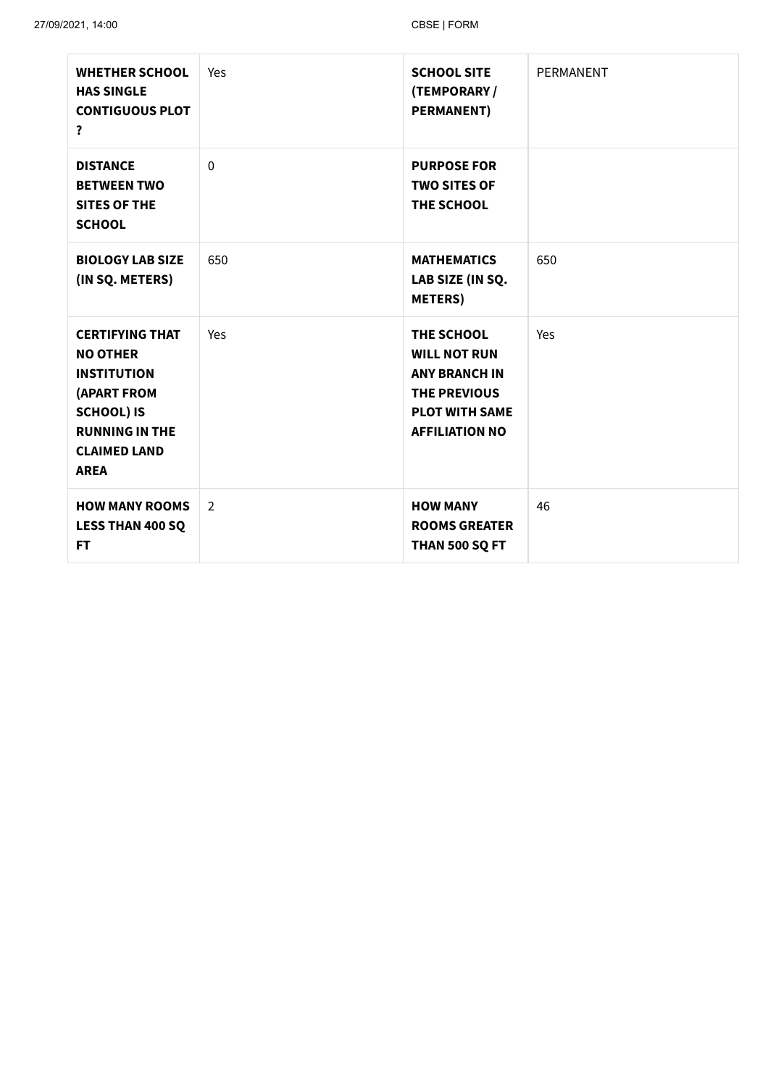| <b>WHETHER SCHOOL</b><br><b>HAS SINGLE</b><br><b>CONTIGUOUS PLOT</b><br>?                                                                                          | Yes            | <b>SCHOOL SITE</b><br>(TEMPORARY /<br><b>PERMANENT)</b>                                                                            | PERMANENT |
|--------------------------------------------------------------------------------------------------------------------------------------------------------------------|----------------|------------------------------------------------------------------------------------------------------------------------------------|-----------|
| <b>DISTANCE</b><br><b>BETWEEN TWO</b><br><b>SITES OF THE</b><br><b>SCHOOL</b>                                                                                      | $\overline{0}$ | <b>PURPOSE FOR</b><br><b>TWO SITES OF</b><br>THE SCHOOL                                                                            |           |
| <b>BIOLOGY LAB SIZE</b><br>(IN SQ. METERS)                                                                                                                         | 650            | <b>MATHEMATICS</b><br>LAB SIZE (IN SQ.<br><b>METERS</b> )                                                                          | 650       |
| <b>CERTIFYING THAT</b><br><b>NO OTHER</b><br><b>INSTITUTION</b><br>(APART FROM<br><b>SCHOOL) IS</b><br><b>RUNNING IN THE</b><br><b>CLAIMED LAND</b><br><b>AREA</b> | Yes            | THE SCHOOL<br><b>WILL NOT RUN</b><br><b>ANY BRANCH IN</b><br><b>THE PREVIOUS</b><br><b>PLOT WITH SAME</b><br><b>AFFILIATION NO</b> | Yes       |
| <b>HOW MANY ROOMS</b><br><b>LESS THAN 400 SQ</b><br><b>FT</b>                                                                                                      | 2              | <b>HOW MANY</b><br><b>ROOMS GREATER</b><br>THAN 500 SQ FT                                                                          | 46        |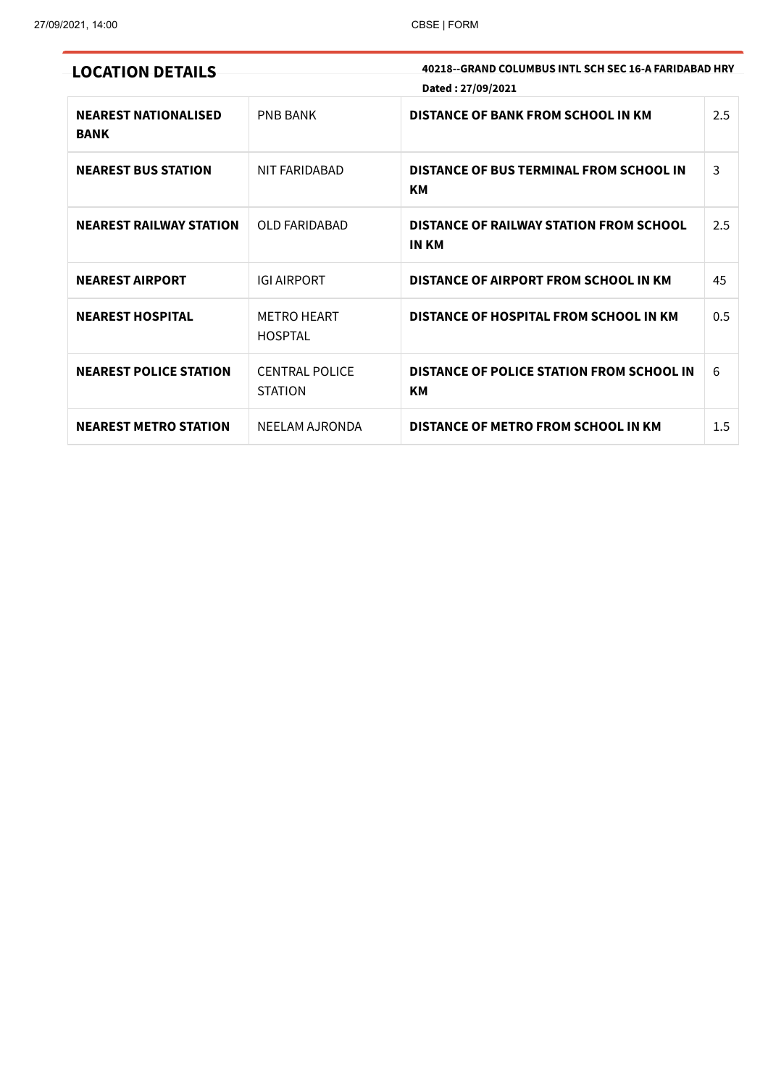|  |  |  | <b>LOCATION DETAILS</b> |  |  |  |  |
|--|--|--|-------------------------|--|--|--|--|
|--|--|--|-------------------------|--|--|--|--|

**LOCATION DETAILS 40218--GRAND COLUMBUS INTL SCH SEC 16-A FARIDABAD HRY Dated : 27/09/2021**

| <b>NEAREST NATIONALISED</b><br><b>BANK</b> | <b>PNB BANK</b>                         | <b>DISTANCE OF BANK FROM SCHOOL IN KM</b>               | 2.5 |
|--------------------------------------------|-----------------------------------------|---------------------------------------------------------|-----|
| <b>NEAREST BUS STATION</b>                 | NIT FARIDABAD                           | DISTANCE OF BUS TERMINAL FROM SCHOOL IN<br>KM           | 3   |
| <b>NEAREST RAILWAY STATION</b>             | OLD FARIDABAD                           | DISTANCE OF RAILWAY STATION FROM SCHOOL<br><b>IN KM</b> | 2.5 |
| <b>NEAREST AIRPORT</b>                     | <b>IGI AIRPORT</b>                      | DISTANCE OF AIRPORT FROM SCHOOL IN KM                   | 45  |
| <b>NEAREST HOSPITAL</b>                    | <b>METRO HEART</b><br><b>HOSPTAL</b>    | DISTANCE OF HOSPITAL FROM SCHOOL IN KM                  | 0.5 |
| <b>NEAREST POLICE STATION</b>              | <b>CENTRAL POLICE</b><br><b>STATION</b> | DISTANCE OF POLICE STATION FROM SCHOOL IN<br>KМ         | 6   |
| <b>NEAREST METRO STATION</b>               | NEELAM AJRONDA                          | DISTANCE OF METRO FROM SCHOOL IN KM                     | 1.5 |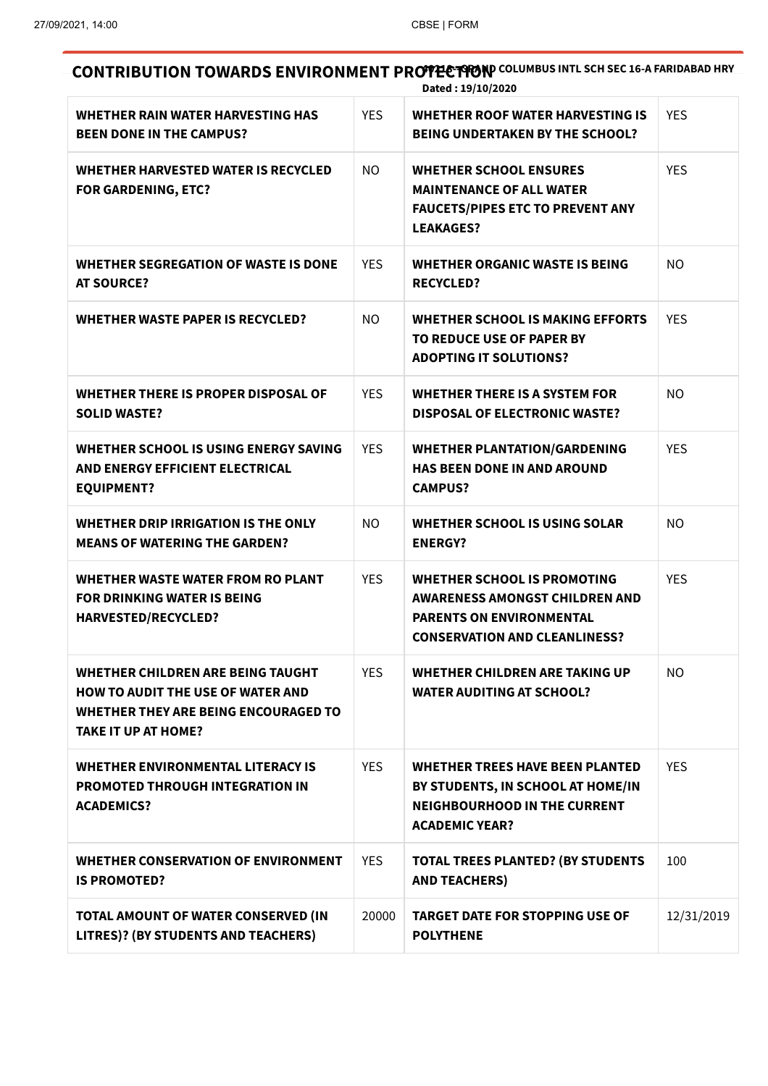**CONTRIBUTION TOWARDS ENVIRONMENT PROTECTION** COLUMBUS INTL SCH SEC 16-A FARIDABAD HRY **Dated : 19/10/2020**

| WHETHER RAIN WATER HARVESTING HAS<br><b>BEEN DONE IN THE CAMPUS?</b>                                                                                       | <b>YES</b> | <b>WHETHER ROOF WATER HARVESTING IS</b><br><b>BEING UNDERTAKEN BY THE SCHOOL?</b>                                                           | <b>YES</b> |
|------------------------------------------------------------------------------------------------------------------------------------------------------------|------------|---------------------------------------------------------------------------------------------------------------------------------------------|------------|
| <b>WHETHER HARVESTED WATER IS RECYCLED</b><br><b>FOR GARDENING, ETC?</b>                                                                                   | NO.        | <b>WHETHER SCHOOL ENSURES</b><br><b>MAINTENANCE OF ALL WATER</b><br><b>FAUCETS/PIPES ETC TO PREVENT ANY</b><br><b>LEAKAGES?</b>             | <b>YES</b> |
| WHETHER SEGREGATION OF WASTE IS DONE<br><b>AT SOURCE?</b>                                                                                                  | <b>YES</b> | WHETHER ORGANIC WASTE IS BEING<br><b>RECYCLED?</b>                                                                                          | NO.        |
| <b>WHETHER WASTE PAPER IS RECYCLED?</b>                                                                                                                    | NO.        | WHETHER SCHOOL IS MAKING EFFORTS<br>TO REDUCE USE OF PAPER BY<br><b>ADOPTING IT SOLUTIONS?</b>                                              | <b>YES</b> |
| WHETHER THERE IS PROPER DISPOSAL OF<br><b>SOLID WASTE?</b>                                                                                                 | <b>YES</b> | <b>WHETHER THERE IS A SYSTEM FOR</b><br><b>DISPOSAL OF ELECTRONIC WASTE?</b>                                                                | <b>NO</b>  |
| WHETHER SCHOOL IS USING ENERGY SAVING<br>AND ENERGY EFFICIENT ELECTRICAL<br><b>EQUIPMENT?</b>                                                              | <b>YES</b> | <b>WHETHER PLANTATION/GARDENING</b><br><b>HAS BEEN DONE IN AND AROUND</b><br><b>CAMPUS?</b>                                                 | <b>YES</b> |
| WHETHER DRIP IRRIGATION IS THE ONLY<br><b>MEANS OF WATERING THE GARDEN?</b>                                                                                | <b>NO</b>  | WHETHER SCHOOL IS USING SOLAR<br><b>ENERGY?</b>                                                                                             | <b>NO</b>  |
| WHETHER WASTE WATER FROM RO PLANT<br><b>FOR DRINKING WATER IS BEING</b><br><b>HARVESTED/RECYCLED?</b>                                                      | <b>YES</b> | WHETHER SCHOOL IS PROMOTING<br>AWARENESS AMONGST CHILDREN AND<br><b>PARENTS ON ENVIRONMENTAL</b><br><b>CONSERVATION AND CLEANLINESS?</b>    | <b>YES</b> |
| WHETHER CHILDREN ARE BEING TAUGHT<br><b>HOW TO AUDIT THE USE OF WATER AND</b><br><b>WHETHER THEY ARE BEING ENCOURAGED TO</b><br><b>TAKE IT UP AT HOME?</b> | <b>YES</b> | <b>WHETHER CHILDREN ARE TAKING UP</b><br><b>WATER AUDITING AT SCHOOL?</b>                                                                   | NO.        |
| <b>WHETHER ENVIRONMENTAL LITERACY IS</b><br><b>PROMOTED THROUGH INTEGRATION IN</b><br><b>ACADEMICS?</b>                                                    | <b>YES</b> | <b>WHETHER TREES HAVE BEEN PLANTED</b><br>BY STUDENTS, IN SCHOOL AT HOME/IN<br><b>NEIGHBOURHOOD IN THE CURRENT</b><br><b>ACADEMIC YEAR?</b> | <b>YES</b> |
| <b>WHETHER CONSERVATION OF ENVIRONMENT</b><br><b>IS PROMOTED?</b>                                                                                          | <b>YES</b> | <b>TOTAL TREES PLANTED? (BY STUDENTS</b><br><b>AND TEACHERS)</b>                                                                            | 100        |
| TOTAL AMOUNT OF WATER CONSERVED (IN<br>LITRES)? (BY STUDENTS AND TEACHERS)                                                                                 | 20000      | <b>TARGET DATE FOR STOPPING USE OF</b><br><b>POLYTHENE</b>                                                                                  | 12/31/2019 |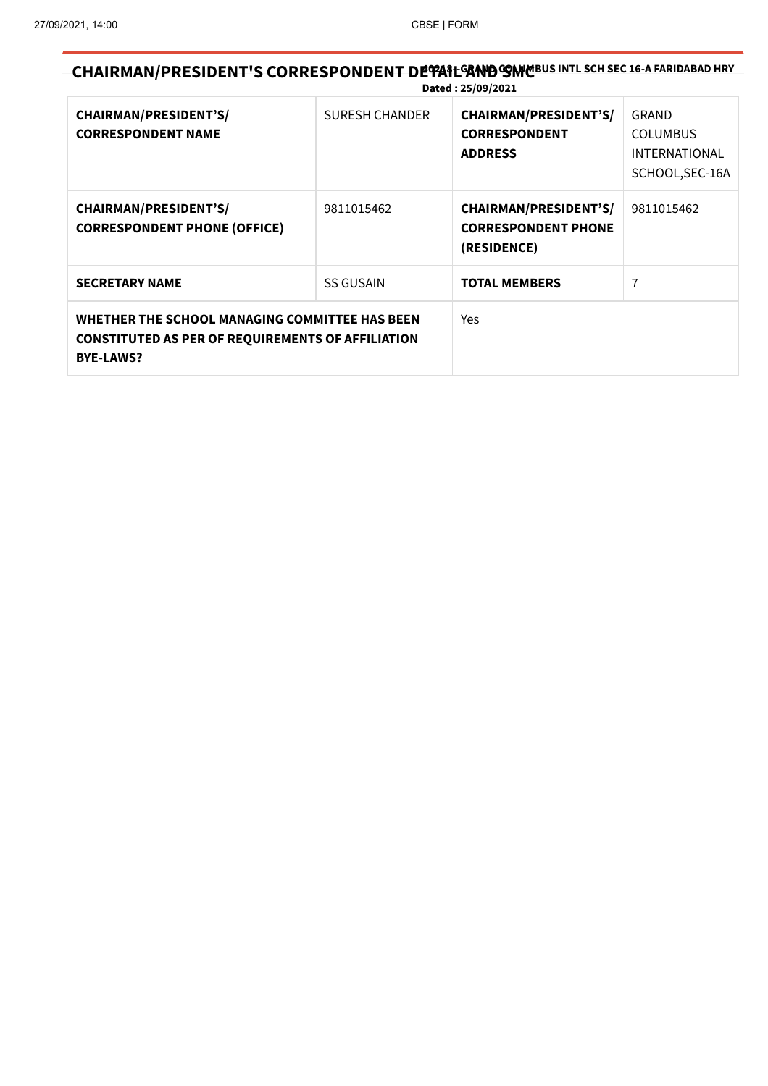**CHAIRMAN/PRESIDENT'S CORRESPONDENT DEPAIL AND COMERTS** INTL SCH SEC 16-A FARIDABAD HRY **Dated : 25/09/2021**

| <b>CHAIRMAN/PRESIDENT'S/</b><br><b>CORRESPONDENT NAME</b>                                                                      | <b>SURESH CHANDER</b> | <b>CHAIRMAN/PRESIDENT'S/</b><br><b>CORRESPONDENT</b><br><b>ADDRESS</b>    | GRAND<br><b>COLUMBUS</b><br><b>INTERNATIONAL</b><br>SCHOOL, SEC-16A |
|--------------------------------------------------------------------------------------------------------------------------------|-----------------------|---------------------------------------------------------------------------|---------------------------------------------------------------------|
| <b>CHAIRMAN/PRESIDENT'S/</b><br><b>CORRESPONDENT PHONE (OFFICE)</b>                                                            | 9811015462            | <b>CHAIRMAN/PRESIDENT'S/</b><br><b>CORRESPONDENT PHONE</b><br>(RESIDENCE) | 9811015462                                                          |
| <b>SECRETARY NAME</b>                                                                                                          | <b>SS GUSAIN</b>      | <b>TOTAL MEMBERS</b>                                                      | 7                                                                   |
| WHETHER THE SCHOOL MANAGING COMMITTEE HAS BEEN<br><b>CONSTITUTED AS PER OF REQUIREMENTS OF AFFILIATION</b><br><b>BYE-LAWS?</b> |                       | Yes                                                                       |                                                                     |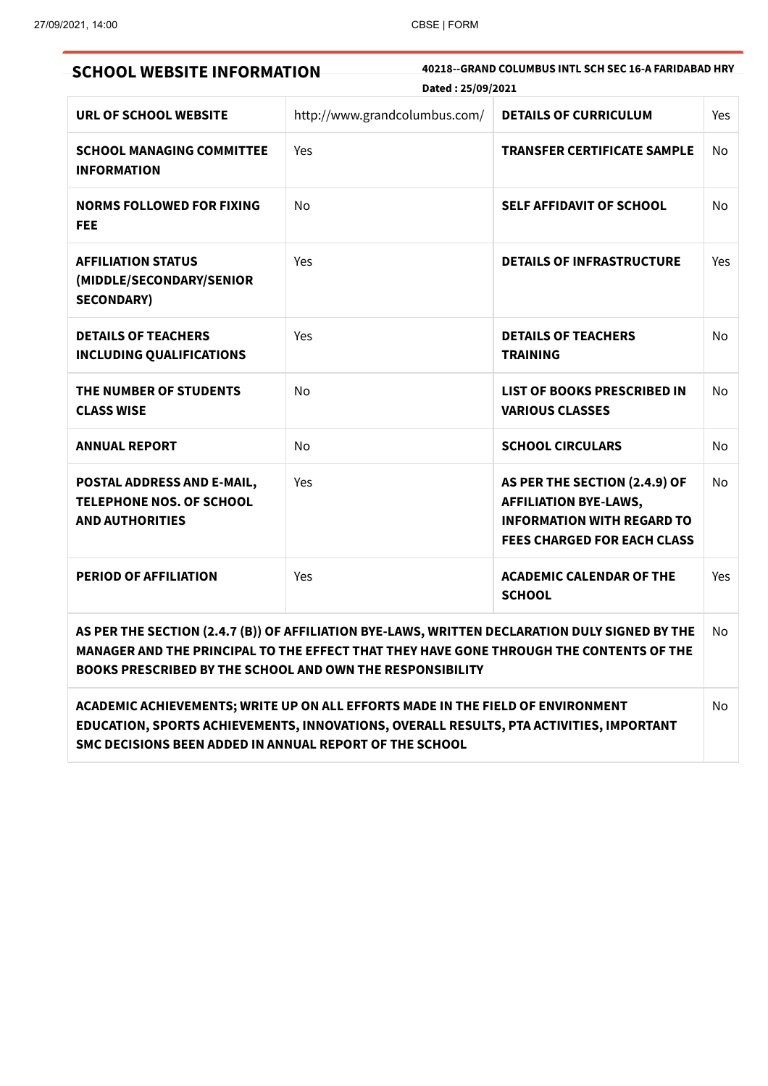| <b>SCHOOL WEBSITE INFORMATION</b>                                                       | Dated: 25/09/2021                                                                                                                                                                                                                                      | 40218--GRAND COLUMBUS INTL SCH SEC 16-A FARIDABAD HRY                                                                                    |                |
|-----------------------------------------------------------------------------------------|--------------------------------------------------------------------------------------------------------------------------------------------------------------------------------------------------------------------------------------------------------|------------------------------------------------------------------------------------------------------------------------------------------|----------------|
| URL OF SCHOOL WEBSITE                                                                   | http://www.grandcolumbus.com/                                                                                                                                                                                                                          | <b>DETAILS OF CURRICULUM</b>                                                                                                             | Yes            |
| <b>SCHOOL MANAGING COMMITTEE</b><br><b>INFORMATION</b>                                  | Yes                                                                                                                                                                                                                                                    | <b>TRANSFER CERTIFICATE SAMPLE</b>                                                                                                       | No.            |
| <b>NORMS FOLLOWED FOR FIXING</b><br>FEE                                                 | No                                                                                                                                                                                                                                                     | <b>SELF AFFIDAVIT OF SCHOOL</b>                                                                                                          | N <sub>o</sub> |
| <b>AFFILIATION STATUS</b><br>(MIDDLE/SECONDARY/SENIOR<br><b>SECONDARY)</b>              | Yes                                                                                                                                                                                                                                                    | <b>DETAILS OF INFRASTRUCTURE</b>                                                                                                         | Yes            |
| <b>DETAILS OF TEACHERS</b><br><b>INCLUDING QUALIFICATIONS</b>                           | Yes                                                                                                                                                                                                                                                    | <b>DETAILS OF TEACHERS</b><br><b>TRAINING</b>                                                                                            | No             |
| THE NUMBER OF STUDENTS<br><b>CLASS WISE</b>                                             | No                                                                                                                                                                                                                                                     | <b>LIST OF BOOKS PRESCRIBED IN</b><br><b>VARIOUS CLASSES</b>                                                                             | No             |
| <b>ANNUAL REPORT</b>                                                                    | No                                                                                                                                                                                                                                                     | <b>SCHOOL CIRCULARS</b>                                                                                                                  | No.            |
| POSTAL ADDRESS AND E-MAIL,<br><b>TELEPHONE NOS. OF SCHOOL</b><br><b>AND AUTHORITIES</b> | Yes                                                                                                                                                                                                                                                    | AS PER THE SECTION (2.4.9) OF<br><b>AFFILIATION BYE-LAWS,</b><br><b>INFORMATION WITH REGARD TO</b><br><b>FEES CHARGED FOR EACH CLASS</b> | No.            |
| <b>PERIOD OF AFFILIATION</b>                                                            | Yes                                                                                                                                                                                                                                                    | <b>ACADEMIC CALENDAR OF THE</b><br><b>SCHOOL</b>                                                                                         | Yes            |
|                                                                                         | AS PER THE SECTION (2.4.7 (B)) OF AFFILIATION BYE-LAWS, WRITTEN DECLARATION DULY SIGNED BY THE<br>MANAGER AND THE PRINCIPAL TO THE EFFECT THAT THEY HAVE GONE THROUGH THE CONTENTS OF THE<br>BOOKS PRESCRIBED BY THE SCHOOL AND OWN THE RESPONSIBILITY |                                                                                                                                          | No.            |
|                                                                                         | ACADEMIC ACHIEVEMENTS; WRITE UP ON ALL EFFORTS MADE IN THE FIELD OF ENVIRONMENT                                                                                                                                                                        |                                                                                                                                          | No             |

**EDUCATION, SPORTS ACHIEVEMENTS, INNOVATIONS, OVERALL RESULTS, PTA ACTIVITIES, IMPORTANT SMC DECISIONS BEEN ADDED IN ANNUAL REPORT OF THE SCHOOL**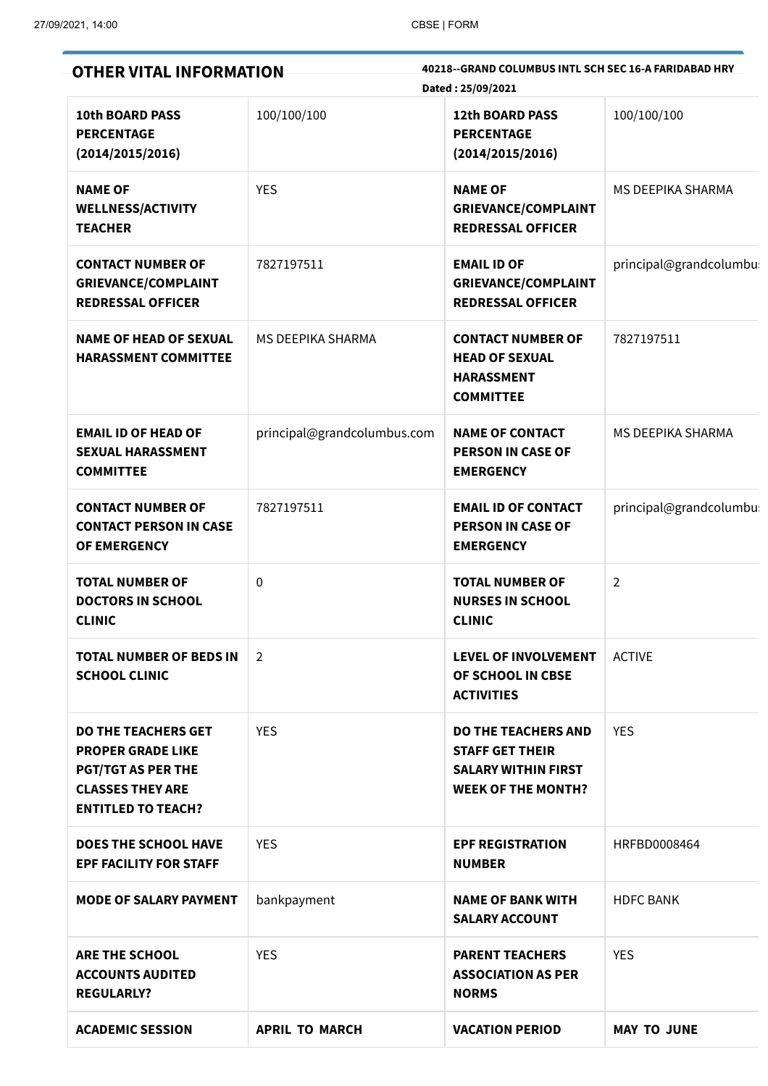| <b>OTHER VITAL INFORMATION</b>                                                                                                              |                             | 40218--GRAND COLUMBUS INTL SCH SEC 16-A FARIDABAD HRY<br>Dated: 25/09/2021                                      |                        |  |  |
|---------------------------------------------------------------------------------------------------------------------------------------------|-----------------------------|-----------------------------------------------------------------------------------------------------------------|------------------------|--|--|
| <b>10th BOARD PASS</b><br><b>PERCENTAGE</b><br>(2014/2015/2016)                                                                             | 100/100/100                 | <b>12th BOARD PASS</b><br><b>PERCENTAGE</b><br>(2014/2015/2016)                                                 | 100/100/100            |  |  |
| <b>NAME OF</b><br><b>WELLNESS/ACTIVITY</b><br><b>TEACHER</b>                                                                                | <b>YES</b>                  | <b>NAME OF</b><br><b>GRIEVANCE/COMPLAINT</b><br><b>REDRESSAL OFFICER</b>                                        | MS DEEPIKA SHARMA      |  |  |
| <b>CONTACT NUMBER OF</b><br><b>GRIEVANCE/COMPLAINT</b><br><b>REDRESSAL OFFICER</b>                                                          | 7827197511                  | <b>EMAIL ID OF</b><br><b>GRIEVANCE/COMPLAINT</b><br><b>REDRESSAL OFFICER</b>                                    | principal@grandcolumbu |  |  |
| <b>NAME OF HEAD OF SEXUAL</b><br><b>HARASSMENT COMMITTEE</b>                                                                                | <b>MS DEEPIKA SHARMA</b>    | <b>CONTACT NUMBER OF</b><br><b>HEAD OF SEXUAL</b><br><b>HARASSMENT</b><br><b>COMMITTEE</b>                      | 7827197511             |  |  |
| <b>EMAIL ID OF HEAD OF</b><br><b>SEXUAL HARASSMENT</b><br><b>COMMITTEE</b>                                                                  | principal@grandcolumbus.com | <b>NAME OF CONTACT</b><br><b>PERSON IN CASE OF</b><br><b>EMERGENCY</b>                                          | MS DEEPIKA SHARMA      |  |  |
| <b>CONTACT NUMBER OF</b><br><b>CONTACT PERSON IN CASE</b><br>OF EMERGENCY                                                                   | 7827197511                  | <b>EMAIL ID OF CONTACT</b><br><b>PERSON IN CASE OF</b><br><b>EMERGENCY</b>                                      | principal@grandcolumbu |  |  |
| <b>TOTAL NUMBER OF</b><br><b>DOCTORS IN SCHOOL</b><br><b>CLINIC</b>                                                                         | $\mathbf 0$                 | <b>TOTAL NUMBER OF</b><br><b>NURSES IN SCHOOL</b><br><b>CLINIC</b>                                              | $\overline{2}$         |  |  |
| <b>TOTAL NUMBER OF BEDS IN</b><br><b>SCHOOL CLINIC</b>                                                                                      | 2                           | <b>LEVEL OF INVOLVEMENT</b><br>OF SCHOOL IN CBSE<br><b>ACTIVITIES</b>                                           | <b>ACTIVE</b>          |  |  |
| <b>DO THE TEACHERS GET</b><br><b>PROPER GRADE LIKE</b><br><b>PGT/TGT AS PER THE</b><br><b>CLASSES THEY ARE</b><br><b>ENTITLED TO TEACH?</b> | <b>YES</b>                  | <b>DO THE TEACHERS AND</b><br><b>STAFF GET THEIR</b><br><b>SALARY WITHIN FIRST</b><br><b>WEEK OF THE MONTH?</b> | <b>YES</b>             |  |  |
| <b>DOES THE SCHOOL HAVE</b><br><b>EPF FACILITY FOR STAFF</b>                                                                                | <b>YES</b>                  | <b>EPF REGISTRATION</b><br><b>NUMBER</b>                                                                        | HRFBD0008464           |  |  |
| <b>MODE OF SALARY PAYMENT</b>                                                                                                               | bankpayment                 | <b>NAME OF BANK WITH</b><br><b>SALARY ACCOUNT</b>                                                               | <b>HDFC BANK</b>       |  |  |
| <b>ARE THE SCHOOL</b><br><b>ACCOUNTS AUDITED</b><br><b>REGULARLY?</b>                                                                       | <b>YES</b>                  | <b>PARENT TEACHERS</b><br><b>ASSOCIATION AS PER</b><br><b>NORMS</b>                                             | <b>YES</b>             |  |  |
| <b>ACADEMIC SESSION</b>                                                                                                                     | <b>APRIL TO MARCH</b>       | <b>VACATION PERIOD</b>                                                                                          | <b>MAY TO JUNE</b>     |  |  |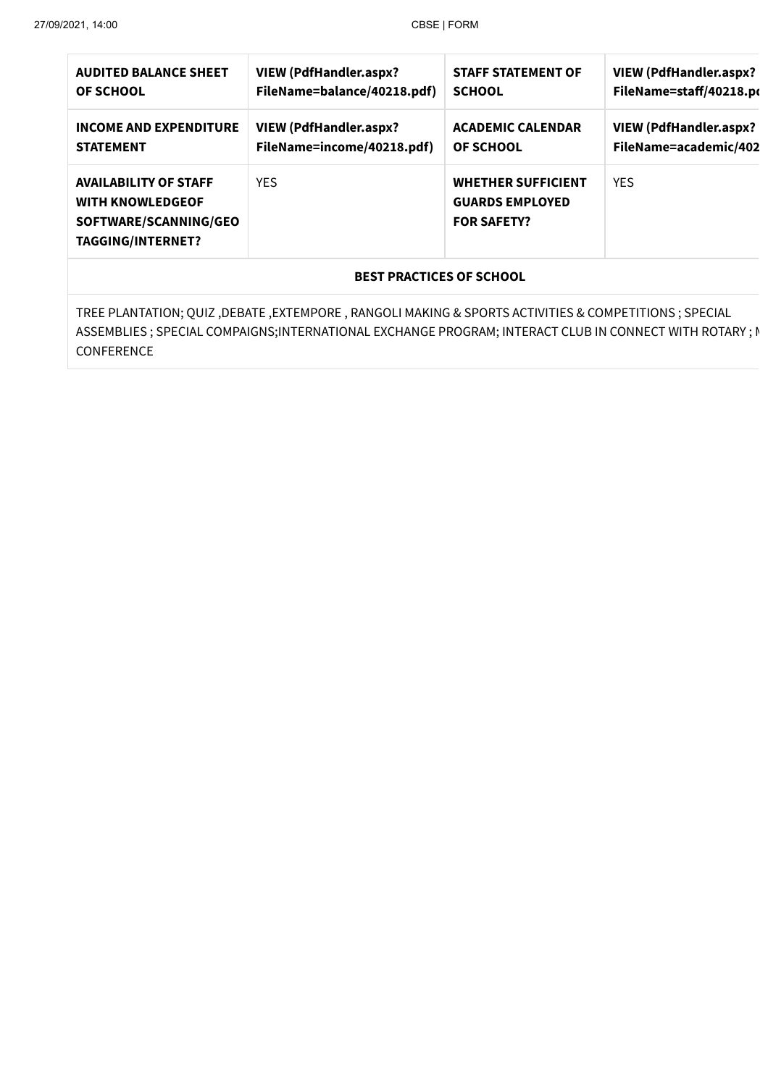| <b>AUDITED BALANCE SHEET</b><br><b>OF SCHOOL</b>                                                             | <b>VIEW (PdfHandler.aspx?</b><br>FileName=balance/40218.pdf) | <b>STAFF STATEMENT OF</b><br><b>SCHOOL</b>                                | <b>VIEW (PdfHandler.aspx?</b><br>FileName=staff/40218.po |  |  |
|--------------------------------------------------------------------------------------------------------------|--------------------------------------------------------------|---------------------------------------------------------------------------|----------------------------------------------------------|--|--|
| <b>INCOME AND EXPENDITURE</b><br><b>STATEMENT</b>                                                            | <b>VIEW (PdfHandler.aspx?</b><br>FileName=income/40218.pdf)  | <b>ACADEMIC CALENDAR</b><br><b>OF SCHOOL</b>                              | <b>VIEW (PdfHandler.aspx?</b><br>FileName=academic/402   |  |  |
| <b>AVAILABILITY OF STAFF</b><br><b>WITH KNOWLEDGEOF</b><br>SOFTWARE/SCANNING/GEO<br><b>TAGGING/INTERNET?</b> | <b>YES</b>                                                   | <b>WHETHER SUFFICIENT</b><br><b>GUARDS EMPLOYED</b><br><b>FOR SAFETY?</b> | <b>YES</b>                                               |  |  |
| <b>BEST PRACTICES OF SCHOOL</b>                                                                              |                                                              |                                                                           |                                                          |  |  |
| TREE PLANTATION; QUIZ, DEBATE, EXTEMPORE, RANGOLI MAKING & SPORTS ACTIVITIES & COMPETITIONS; SPECIAL         |                                                              |                                                                           |                                                          |  |  |

ASSEMBLIES ; SPECIAL COMPAIGNS;INTERNATIONAL EXCHANGE PROGRAM; INTERACT CLUB IN CONNECT WITH ROTARY ; N CONFERENCE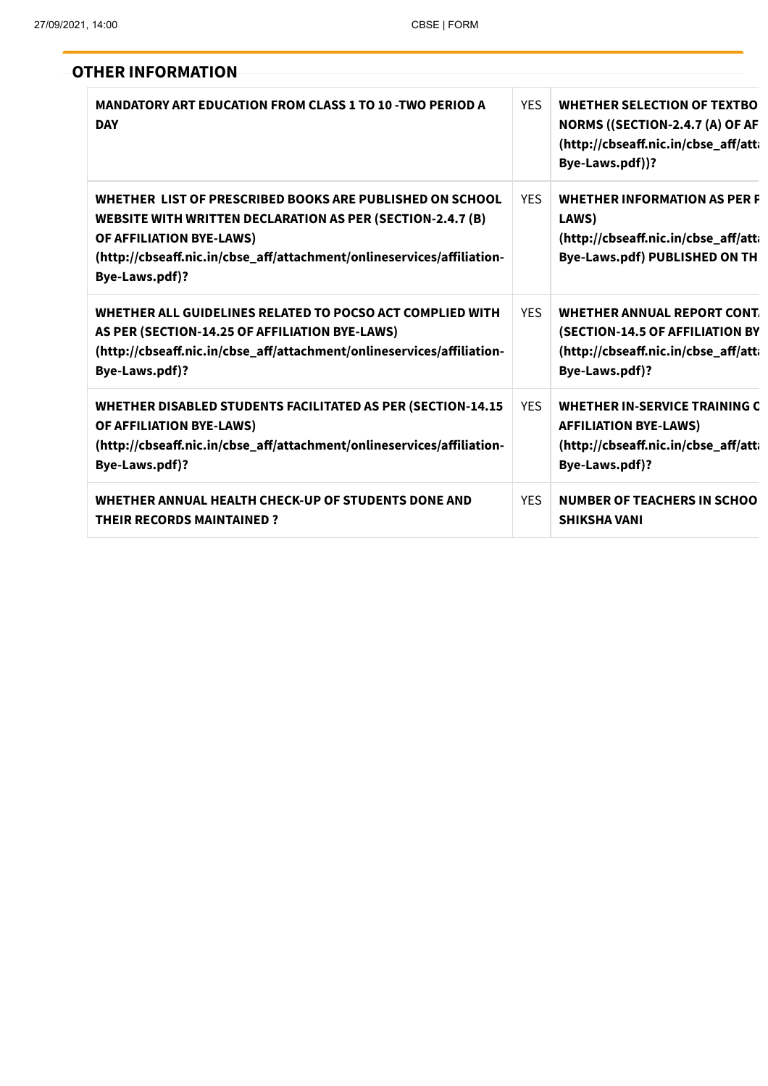| <b>OTHER INFORMATION</b>                                                                                                                                                                                                                              |            |                                                                                                                                  |
|-------------------------------------------------------------------------------------------------------------------------------------------------------------------------------------------------------------------------------------------------------|------------|----------------------------------------------------------------------------------------------------------------------------------|
| <b>MANDATORY ART EDUCATION FROM CLASS 1 TO 10 -TWO PERIOD A</b><br><b>DAY</b>                                                                                                                                                                         | <b>YES</b> | <b>WHETHER SELECTION OF TEXTBO</b><br>NORMS ((SECTION-2.4.7 (A) OF AF<br>(http://cbseaff.nic.in/cbse_aff/atti<br>Bye-Laws.pdf))? |
| WHETHER LIST OF PRESCRIBED BOOKS ARE PUBLISHED ON SCHOOL<br><b>WEBSITE WITH WRITTEN DECLARATION AS PER (SECTION-2.4.7 (B)</b><br>OF AFFILIATION BYE-LAWS)<br>(http://cbseaff.nic.in/cbse_aff/attachment/onlineservices/affiliation-<br>Bye-Laws.pdf)? | <b>YES</b> | <b>WHETHER INFORMATION AS PER F</b><br>LAWS)<br>(http://cbseaff.nic.in/cbse_aff/att<br><b>Bye-Laws.pdf) PUBLISHED ON TH</b>      |
| WHETHER ALL GUIDELINES RELATED TO POCSO ACT COMPLIED WITH<br>AS PER (SECTION-14.25 OF AFFILIATION BYE-LAWS)<br>(http://cbseaff.nic.in/cbse_aff/attachment/onlineservices/affiliation-<br>Bye-Laws.pdf)?                                               | <b>YES</b> | WHETHER ANNUAL REPORT CONT.<br>(SECTION-14.5 OF AFFILIATION BY<br>(http://cbseaff.nic.in/cbse_aff/atta<br>Bye-Laws.pdf)?         |
| <b>WHETHER DISABLED STUDENTS FACILITATED AS PER (SECTION-14.15</b><br>OF AFFILIATION BYE-LAWS)<br>(http://cbseaff.nic.in/cbse_aff/attachment/onlineservices/affiliation-<br>Bye-Laws.pdf)?                                                            | <b>YES</b> | WHETHER IN-SERVICE TRAINING C<br><b>AFFILIATION BYE-LAWS)</b><br>(http://cbseaff.nic.in/cbse_aff/atti<br>Bye-Laws.pdf)?          |
| WHETHER ANNUAL HEALTH CHECK-UP OF STUDENTS DONE AND<br><b>THEIR RECORDS MAINTAINED?</b>                                                                                                                                                               | <b>YES</b> | <b>NUMBER OF TEACHERS IN SCHOO</b><br><b>SHIKSHA VANI</b>                                                                        |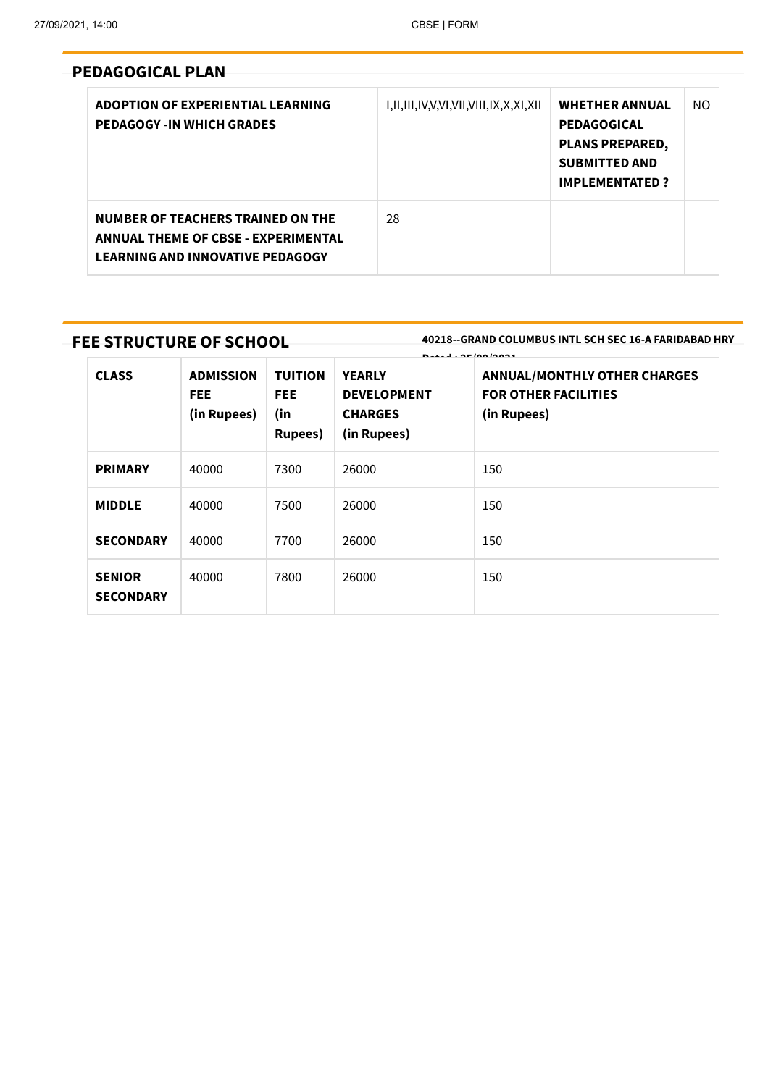### **PEDAGOGICAL PLAN**

| ADOPTION OF EXPERIENTIAL LEARNING<br><b>PEDAGOGY-IN WHICH GRADES</b>                                                       | I,II,III,IV,V,VI,VII,VIII,IX,X,XI,XII | <b>WHETHER ANNUAL</b><br><b>PEDAGOGICAL</b><br><b>PLANS PREPARED,</b><br><b>SUBMITTED AND</b><br><b>IMPLEMENTATED?</b> | NO. |
|----------------------------------------------------------------------------------------------------------------------------|---------------------------------------|------------------------------------------------------------------------------------------------------------------------|-----|
| NUMBER OF TEACHERS TRAINED ON THE<br><b>ANNUAL THEME OF CBSE - EXPERIMENTAL</b><br><b>LEARNING AND INNOVATIVE PEDAGOGY</b> | 28                                    |                                                                                                                        |     |

### **FEE STRUCTURE OF SCHOOL**

**40218--GRAND COLUMBUS INTL SCH SEC 16-A FARIDABAD HRY**

|                                   |                                               |                                                  | <b>B.L.J. AFIAAIAAA4</b>                                             |                                                                                   |  |  |
|-----------------------------------|-----------------------------------------------|--------------------------------------------------|----------------------------------------------------------------------|-----------------------------------------------------------------------------------|--|--|
| <b>CLASS</b>                      | <b>ADMISSION</b><br><b>FEE</b><br>(in Rupees) | <b>TUITION</b><br>FEE.<br>(in<br><b>Rupees</b> ) | <b>YEARLY</b><br><b>DEVELOPMENT</b><br><b>CHARGES</b><br>(in Rupees) | <b>ANNUAL/MONTHLY OTHER CHARGES</b><br><b>FOR OTHER FACILITIES</b><br>(in Rupees) |  |  |
| <b>PRIMARY</b>                    | 40000                                         | 7300                                             | 26000                                                                | 150                                                                               |  |  |
| <b>MIDDLE</b>                     | 40000                                         | 7500                                             | 26000                                                                | 150                                                                               |  |  |
| <b>SECONDARY</b>                  | 40000                                         | 7700                                             | 26000                                                                | 150                                                                               |  |  |
| <b>SENIOR</b><br><b>SECONDARY</b> | 40000                                         | 7800                                             | 26000                                                                | 150                                                                               |  |  |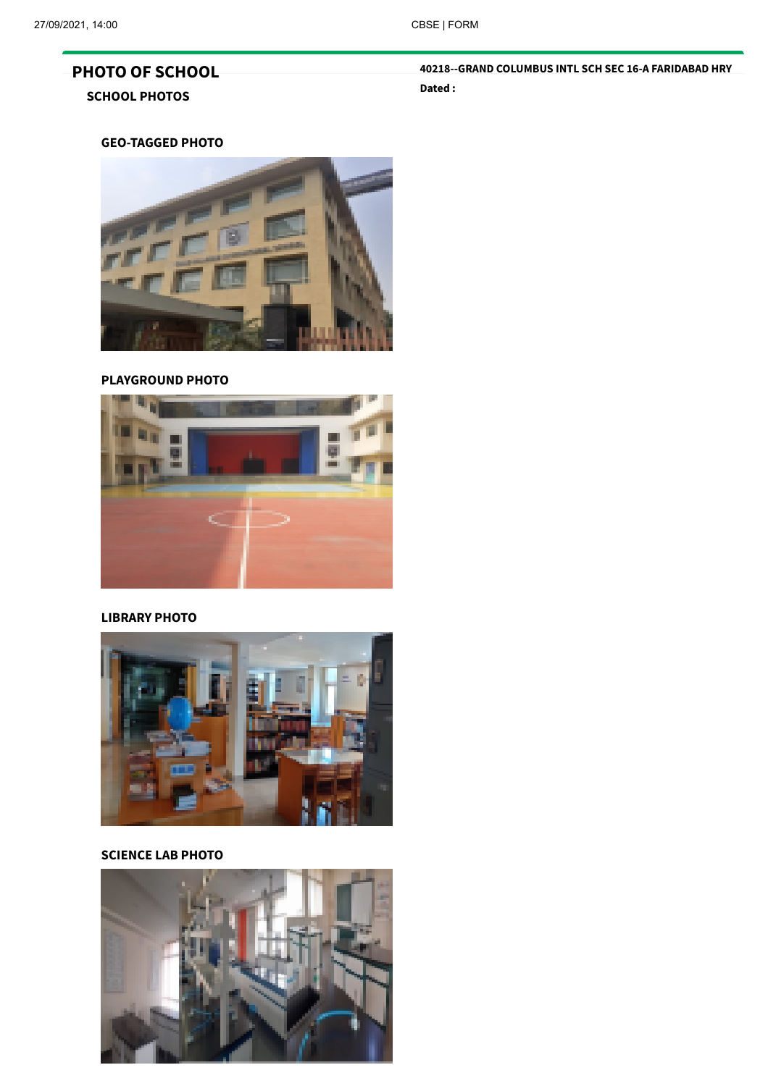## **PHOTO OF SCHOOL SCHOOL PHOTOS**

**40218--GRAND COLUMBUS INTL SCH SEC 16-A FARIDABAD HRY Dated :**

#### **GEO-TAGGED PHOTO**



#### **PLAYGROUND PHOTO**



#### **LIBRARY PHOTO**



#### **SCIENCE LAB PHOTO**

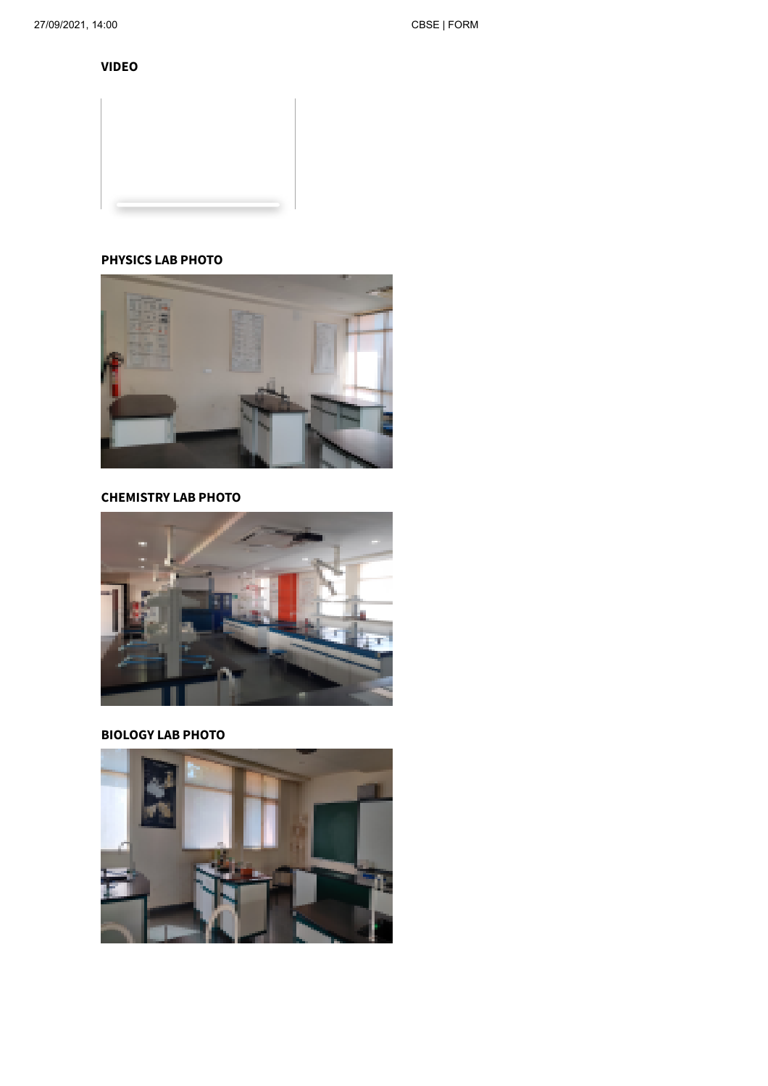**VIDEO**

### **PHYSICS LAB PHOTO**



**CHEMISTRY LAB PHOTO**



**BIOLOGY LAB PHOTO**

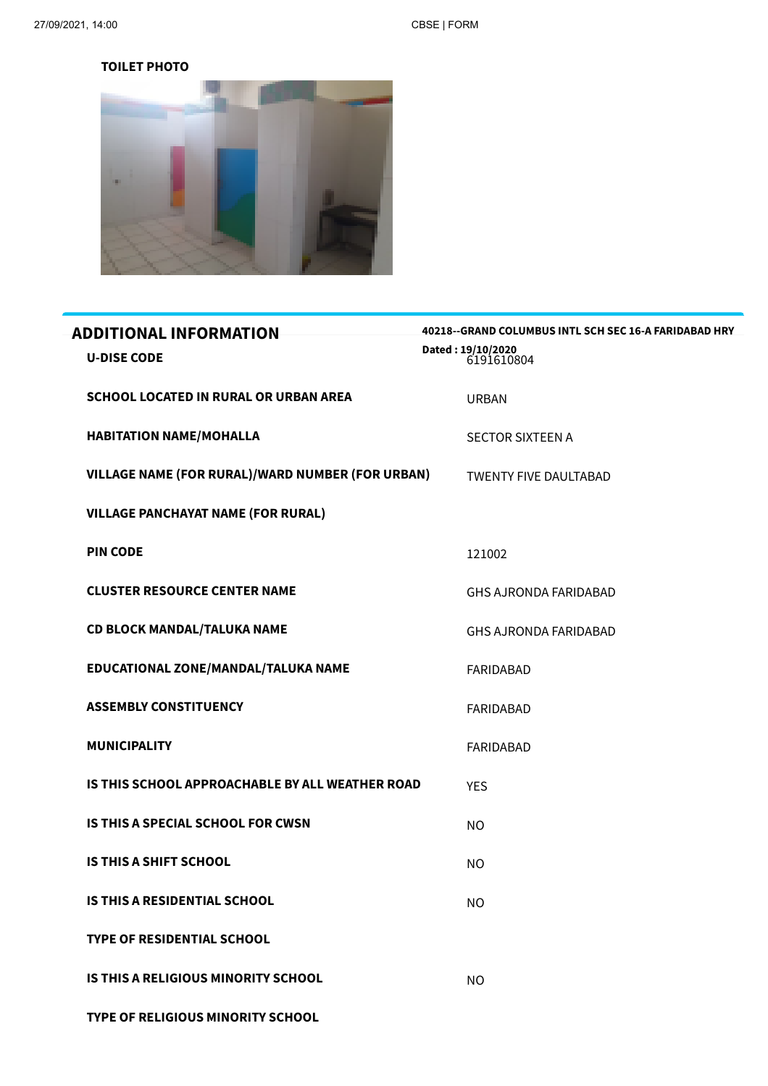#### **TOILET PHOTO**



| <b>ADDITIONAL INFORMATION</b>                    | 40218--GRAND COLUMBUS INTL SCH SEC 16-A FARIDABAD HRY |
|--------------------------------------------------|-------------------------------------------------------|
| <b>U-DISE CODE</b>                               | Dated: 19/10/2020<br>6191610804                       |
| <b>SCHOOL LOCATED IN RURAL OR URBAN AREA</b>     | <b>URBAN</b>                                          |
| <b>HABITATION NAME/MOHALLA</b>                   | <b>SECTOR SIXTEEN A</b>                               |
| VILLAGE NAME (FOR RURAL)/WARD NUMBER (FOR URBAN) | <b>TWENTY FIVE DAULTABAD</b>                          |
| <b>VILLAGE PANCHAYAT NAME (FOR RURAL)</b>        |                                                       |
| <b>PIN CODE</b>                                  | 121002                                                |
| <b>CLUSTER RESOURCE CENTER NAME</b>              | <b>GHS AJRONDA FARIDABAD</b>                          |
| <b>CD BLOCK MANDAL/TALUKA NAME</b>               | <b>GHS AJRONDA FARIDABAD</b>                          |
| EDUCATIONAL ZONE/MANDAL/TALUKA NAME              | <b>FARIDABAD</b>                                      |
| <b>ASSEMBLY CONSTITUENCY</b>                     | <b>FARIDABAD</b>                                      |
| <b>MUNICIPALITY</b>                              | <b>FARIDABAD</b>                                      |
| IS THIS SCHOOL APPROACHABLE BY ALL WEATHER ROAD  | <b>YES</b>                                            |
| IS THIS A SPECIAL SCHOOL FOR CWSN                | <b>NO</b>                                             |
| <b>IS THIS A SHIFT SCHOOL</b>                    | <b>NO</b>                                             |
| <b>IS THIS A RESIDENTIAL SCHOOL</b>              | <b>NO</b>                                             |
| <b>TYPE OF RESIDENTIAL SCHOOL</b>                |                                                       |
| <b>IS THIS A RELIGIOUS MINORITY SCHOOL</b>       | <b>NO</b>                                             |
| TYPE OF RELIGIOUS MINORITY SCHOOL                |                                                       |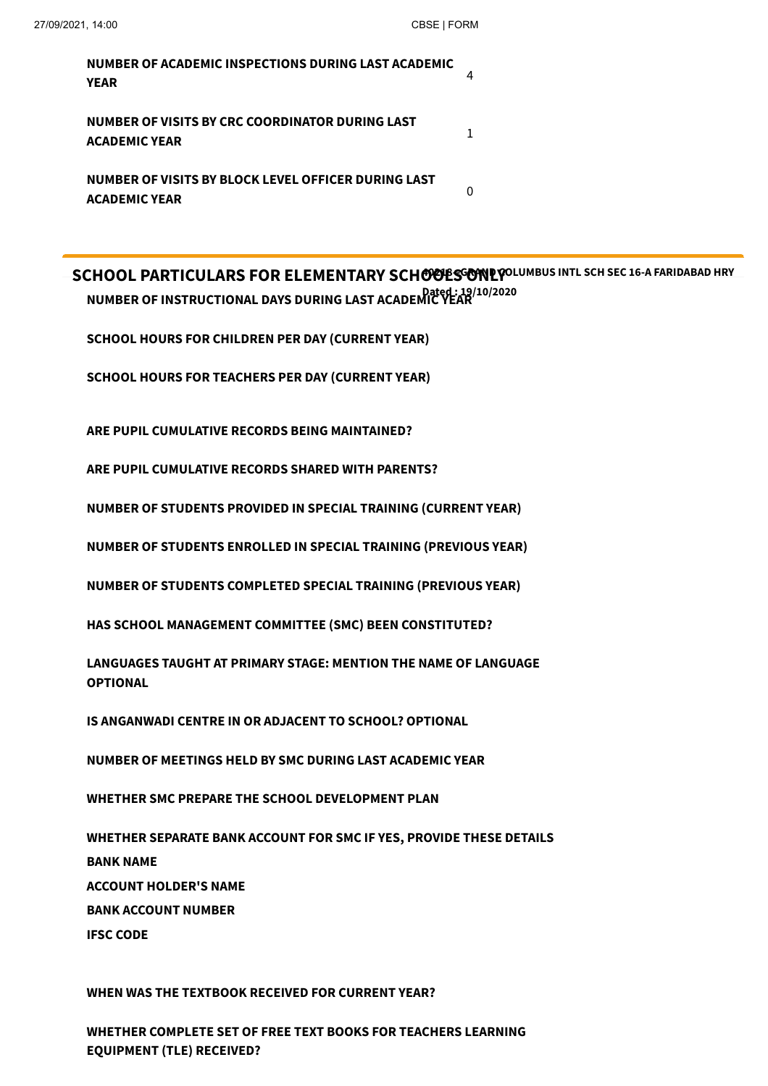| NUMBER OF ACADEMIC INSPECTIONS DURING LAST ACADEMIC<br>YEAR                 |  |
|-----------------------------------------------------------------------------|--|
| NUMBER OF VISITS BY CRC COORDINATOR DURING LAST<br><b>ACADEMIC YEAR</b>     |  |
| NUMBER OF VISITS BY BLOCK LEVEL OFFICER DURING LAST<br><b>ACADEMIC YEAR</b> |  |

**SCHOOL PARTICULARS FOR ELEMENTARY SCHOOLS ONLY 40218--GRAND COLUMBUS INTL SCH SEC 16-A FARIDABAD HRY Dated : 19/10/2020 NUMBER OF INSTRUCTIONAL DAYS DURING LAST ACADEMIC YEAR**

**SCHOOL HOURS FOR CHILDREN PER DAY (CURRENT YEAR)**

**SCHOOL HOURS FOR TEACHERS PER DAY (CURRENT YEAR)**

**ARE PUPIL CUMULATIVE RECORDS BEING MAINTAINED?**

**ARE PUPIL CUMULATIVE RECORDS SHARED WITH PARENTS?**

**NUMBER OF STUDENTS PROVIDED IN SPECIAL TRAINING (CURRENT YEAR)**

**NUMBER OF STUDENTS ENROLLED IN SPECIAL TRAINING (PREVIOUS YEAR)**

**NUMBER OF STUDENTS COMPLETED SPECIAL TRAINING (PREVIOUS YEAR)**

**HAS SCHOOL MANAGEMENT COMMITTEE (SMC) BEEN CONSTITUTED?**

**LANGUAGES TAUGHT AT PRIMARY STAGE: MENTION THE NAME OF LANGUAGE OPTIONAL**

**IS ANGANWADI CENTRE IN OR ADJACENT TO SCHOOL? OPTIONAL**

**NUMBER OF MEETINGS HELD BY SMC DURING LAST ACADEMIC YEAR**

**WHETHER SMC PREPARE THE SCHOOL DEVELOPMENT PLAN**

**WHETHER SEPARATE BANK ACCOUNT FOR SMC IF YES, PROVIDE THESE DETAILS BANK NAME ACCOUNT HOLDER'S NAME BANK ACCOUNT NUMBER IFSC CODE**

**WHEN WAS THE TEXTBOOK RECEIVED FOR CURRENT YEAR?**

**WHETHER COMPLETE SET OF FREE TEXT BOOKS FOR TEACHERS LEARNING EQUIPMENT (TLE) RECEIVED?**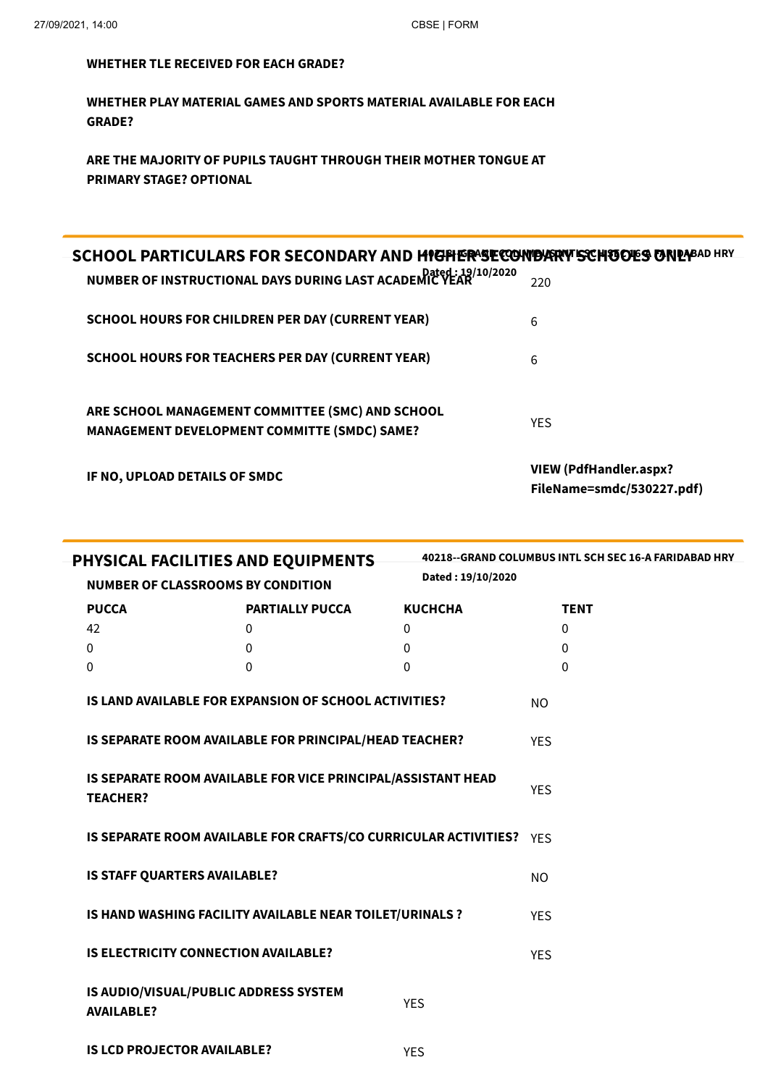#### **WHETHER TLE RECEIVED FOR EACH GRADE?**

**WHETHER PLAY MATERIAL GAMES AND SPORTS MATERIAL AVAILABLE FOR EACH GRADE?**

**ARE THE MAJORITY OF PUPILS TAUGHT THROUGH THEIR MOTHER TONGUE AT PRIMARY STAGE? OPTIONAL**

| SCHOOL PARTICULARS FOR SECONDARY AND HIGHER SECONDARY SCHOOL PARTICULARS<br>NUMBER OF INSTRUCTIONAL DAYS DURING LAST ACADEMIC VEAR 19/10/2020 | 220                                                 |
|-----------------------------------------------------------------------------------------------------------------------------------------------|-----------------------------------------------------|
| <b>SCHOOL HOURS FOR CHILDREN PER DAY (CURRENT YEAR)</b>                                                                                       | 6                                                   |
| <b>SCHOOL HOURS FOR TEACHERS PER DAY (CURRENT YEAR)</b>                                                                                       | 6                                                   |
| ARE SCHOOL MANAGEMENT COMMITTEE (SMC) AND SCHOOL<br><b>MANAGEMENT DEVELOPMENT COMMITTE (SMDC) SAME?</b>                                       | YES.                                                |
| IF NO, UPLOAD DETAILS OF SMDC                                                                                                                 | VIEW (PdfHandler.aspx?<br>FileName=smdc/530227.pdf) |

| PHYSICAL FACILITIES AND EQUIPMENTS<br>Dated: 19/10/2020                         |                                                            |                                                                     | 40218--GRAND COLUMBUS INTL SCH SEC 16-A FARIDABAD HRY |            |             |
|---------------------------------------------------------------------------------|------------------------------------------------------------|---------------------------------------------------------------------|-------------------------------------------------------|------------|-------------|
|                                                                                 | <b>NUMBER OF CLASSROOMS BY CONDITION</b>                   |                                                                     |                                                       |            |             |
|                                                                                 | <b>PUCCA</b>                                               | <b>PARTIALLY PUCCA</b>                                              | <b>KUCHCHA</b>                                        |            | <b>TENT</b> |
|                                                                                 | 42                                                         | 0                                                                   | $\mathbf 0$                                           |            | $\Omega$    |
|                                                                                 | $\mathbf 0$                                                | 0                                                                   | 0                                                     |            | 0           |
|                                                                                 | 0                                                          | 0                                                                   | $\Omega$                                              |            | $\Omega$    |
|                                                                                 |                                                            | IS LAND AVAILABLE FOR EXPANSION OF SCHOOL ACTIVITIES?               |                                                       | NO         |             |
|                                                                                 |                                                            | IS SEPARATE ROOM AVAILABLE FOR PRINCIPAL/HEAD TEACHER?              |                                                       | <b>YES</b> |             |
| IS SEPARATE ROOM AVAILABLE FOR VICE PRINCIPAL/ASSISTANT HEAD<br><b>TEACHER?</b> |                                                            |                                                                     |                                                       | <b>YES</b> |             |
|                                                                                 |                                                            | IS SEPARATE ROOM AVAILABLE FOR CRAFTS/CO CURRICULAR ACTIVITIES? YES |                                                       |            |             |
|                                                                                 | IS STAFF QUARTERS AVAILABLE?                               |                                                                     |                                                       | NO         |             |
|                                                                                 |                                                            | IS HAND WASHING FACILITY AVAILABLE NEAR TOILET/URINALS ?            |                                                       | <b>YES</b> |             |
|                                                                                 | <b>IS ELECTRICITY CONNECTION AVAILABLE?</b>                |                                                                     |                                                       | <b>YES</b> |             |
|                                                                                 | IS AUDIO/VISUAL/PUBLIC ADDRESS SYSTEM<br><b>AVAILABLE?</b> |                                                                     | <b>YES</b>                                            |            |             |
|                                                                                 | <b>IS LCD PROJECTOR AVAILABLE?</b>                         |                                                                     | <b>YES</b>                                            |            |             |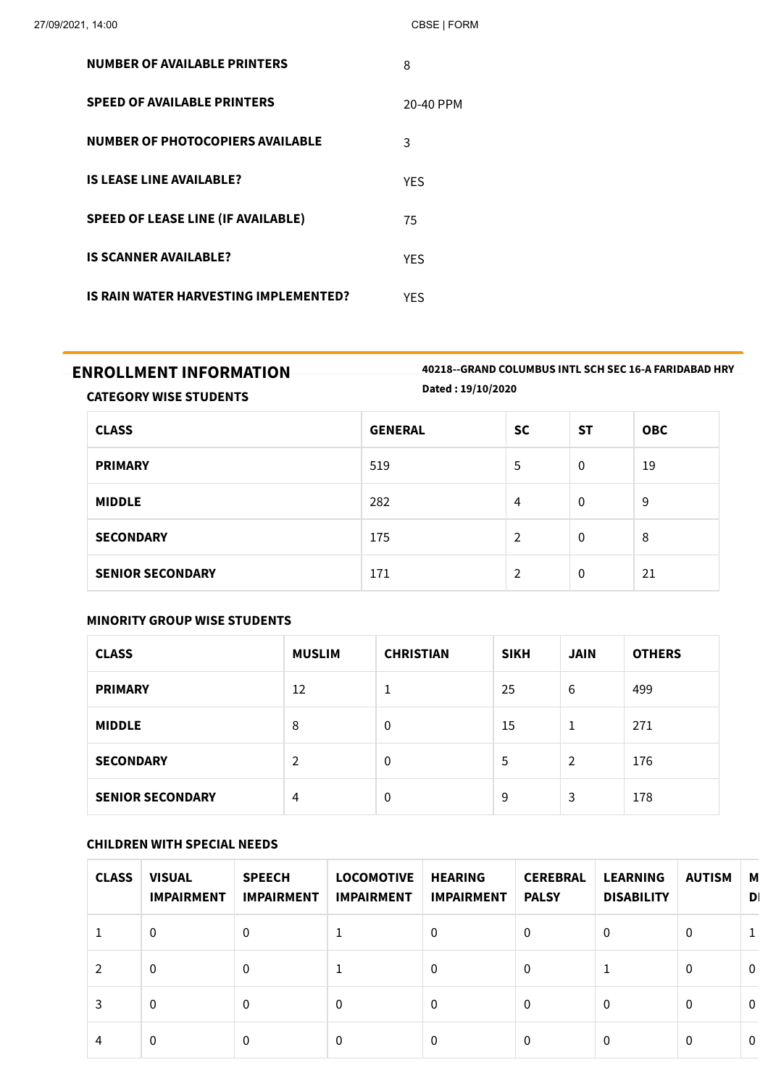| <b>NUMBER OF AVAILABLE PRINTERS</b>       | 8          |
|-------------------------------------------|------------|
| <b>SPEED OF AVAILABLE PRINTERS</b>        | 20-40 PPM  |
| <b>NUMBER OF PHOTOCOPIERS AVAILABLE</b>   | 3          |
| <b>IS LEASE LINE AVAILABLE?</b>           | <b>YES</b> |
| <b>SPEED OF LEASE LINE (IF AVAILABLE)</b> | 75         |
| <b>IS SCANNER AVAILABLE?</b>              | <b>YES</b> |
| IS RAIN WATER HARVESTING IMPLEMENTED?     | YES        |

#### **ENROLLMENT INFORMATION 40218--GRAND COLUMBUS INTL SCH SEC 16-A FARIDABAD HRY Dated : 19/10/2020**

**CATEGORY WISE STUDENTS**

| <b>CLASS</b>            | <b>GENERAL</b> | <b>SC</b>     | <b>ST</b> | <b>OBC</b> |
|-------------------------|----------------|---------------|-----------|------------|
| <b>PRIMARY</b>          | 519            | 5             | 0         | 19         |
| <b>MIDDLE</b>           | 282            | 4             | 0         | 9          |
| <b>SECONDARY</b>        | 175            | 2             | 0         | 8          |
| <b>SENIOR SECONDARY</b> | 171            | $\mathcal{P}$ | 0         | 21         |

#### **MINORITY GROUP WISE STUDENTS**

| <b>CLASS</b>            | <b>MUSLIM</b>  | <b>CHRISTIAN</b> | <b>SIKH</b> | <b>JAIN</b> | <b>OTHERS</b> |
|-------------------------|----------------|------------------|-------------|-------------|---------------|
| <b>PRIMARY</b>          | 12             | ᅩ                | 25          | 6           | 499           |
| <b>MIDDLE</b>           | 8              | 0                | 15          | 1           | 271           |
| <b>SECONDARY</b>        | $\overline{2}$ | $\Omega$         | 5           | 2           | 176           |
| <b>SENIOR SECONDARY</b> | 4              | $\Omega$         | 9           | 3           | 178           |

#### **CHILDREN WITH SPECIAL NEEDS**

| <b>CLASS</b> | <b>VISUAL</b><br><b>IMPAIRMENT</b> | <b>SPEECH</b><br><b>IMPAIRMENT</b> | <b>LOCOMOTIVE</b><br><b>IMPAIRMENT</b> | <b>HEARING</b><br><b>IMPAIRMENT</b> | <b>CEREBRAL</b><br><b>PALSY</b> | <b>LEARNING</b><br><b>DISABILITY</b> | <b>AUTISM</b> | М<br>D       |
|--------------|------------------------------------|------------------------------------|----------------------------------------|-------------------------------------|---------------------------------|--------------------------------------|---------------|--------------|
|              | 0                                  | 0                                  |                                        | 0                                   | $\mathbf{0}$                    | $\Omega$                             | 0             |              |
|              | 0                                  | $\Omega$                           |                                        | 0                                   | $\mathbf{0}$                    | 1                                    | $\mathbf{0}$  | $\mathbf{0}$ |
| 3.           | $\Omega$                           | $\Omega$                           | 0                                      | 0                                   | $\mathbf{0}$                    | $\Omega$                             | $\Omega$      | $\mathbf{0}$ |
| 4            | $\Omega$                           | 0                                  | 0                                      | 0                                   | $\Omega$                        | $\Omega$                             | $\Omega$      | $\mathbf{0}$ |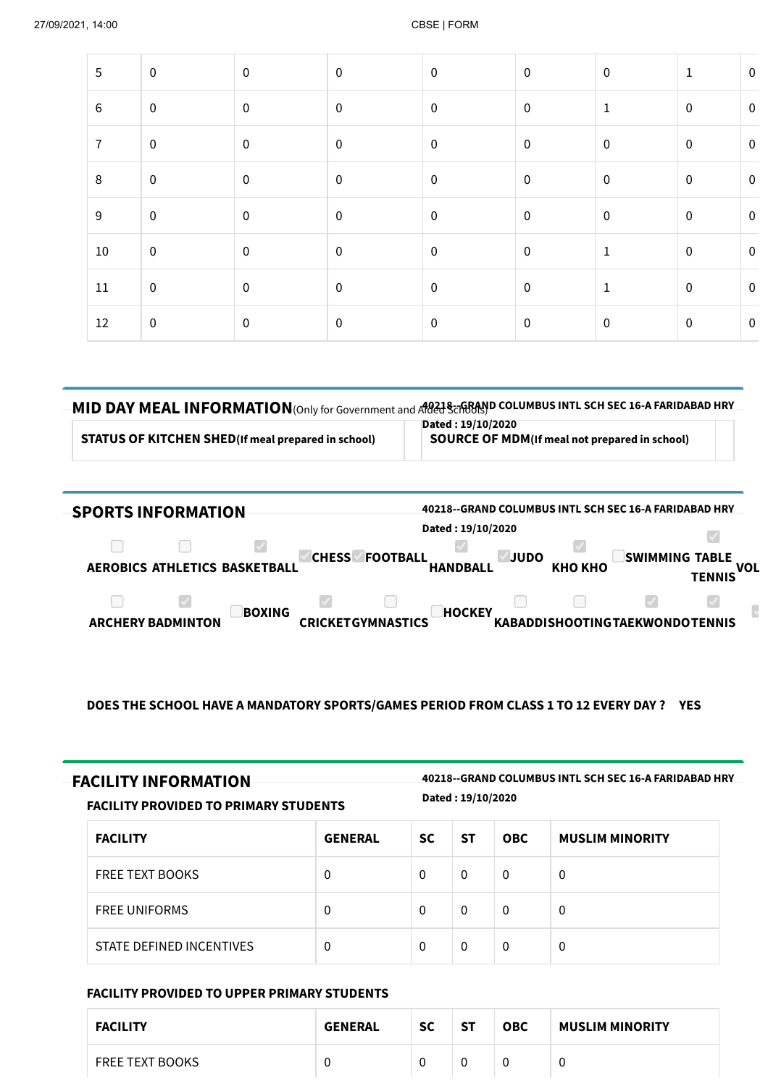| 5              | $\mathbf 0$      | $\mathbf 0$ | $\mathbf 0$      | $\mathbf 0$ | $\pmb{0}$        | $\mathbf 0$  | $1\,$            | $\pmb{0}$ |
|----------------|------------------|-------------|------------------|-------------|------------------|--------------|------------------|-----------|
| $\,6\,$        | $\,0\,$          | $\pmb{0}$   | $\pmb{0}$        | $\mathbf 0$ | $\pmb{0}$        | $\mathbf{1}$ | $\pmb{0}$        | $\pmb{0}$ |
| $\overline{7}$ | $\boldsymbol{0}$ | $\pmb{0}$   | $\boldsymbol{0}$ | $\mathbf 0$ | $\pmb{0}$        | $\mathbf 0$  | $\pmb{0}$        | $\pmb{0}$ |
| $\,8\,$        | $\boldsymbol{0}$ | $\pmb{0}$   | $\mathbf 0$      | $\mathbf 0$ | $\boldsymbol{0}$ | $\mathbf 0$  | $\mathbf 0$      | $\pmb{0}$ |
| $9\,$          | $\,0\,$          | $\pmb{0}$   | $\pmb{0}$        | $\mathbf 0$ | $\pmb{0}$        | $\mathbf 0$  | $\pmb{0}$        | $\pmb{0}$ |
| 10             | $\boldsymbol{0}$ | $\pmb{0}$   | $\mathbf 0$      | $\mathbf 0$ | $\boldsymbol{0}$ | $\mathbf{1}$ | $\boldsymbol{0}$ | $\pmb{0}$ |
| $11\,$         | $\mathbf 0$      | $\pmb{0}$   | $\mathbf 0$      | $\mathbf 0$ | $\pmb{0}$        | $\mathbf{1}$ | $\pmb{0}$        | $\pmb{0}$ |
| 12             | $\boldsymbol{0}$ | $\pmb{0}$   | $\pmb{0}$        | $\mathbf 0$ | $\pmb{0}$        | $\mathbf 0$  | $\pmb{0}$        | $\pmb{0}$ |
|                |                  |             |                  |             |                  |              |                  |           |

## $MID$  DAY MEAL INFORMATION(Only for Government and Adal Schools) COLUMBUS INTL SCH SEC 16-A FARIDABAD HRY

**STATUS OF KITCHEN SHED(If meal prepared in school) SOURCE OF MDM(If meal not prepared in school)**

**Dated : 19/10/2020**

| <b>SPORTS INFORMATION</b>                 | 40218--GRAND COLUMBUS INTL SCH SEC 16-A FARIDABAD HRY<br>Dated: 19/10/2020 |                                                   |
|-------------------------------------------|----------------------------------------------------------------------------|---------------------------------------------------|
| AEROBICS ATHLETICS BASKETBALL             | <b>CHESS</b><br><b>FOOTBALL</b><br><b>JUDO</b><br>КНО КНО                  | SWIMMING <br><b>TABLE</b><br><b>VOL</b><br>TENNIS |
| <b>BOXING</b><br><b>ARCHERY BADMINTON</b> | <b>HOCKEY</b><br>CRICKETGYMNASTICS                                         | <b>KABADDISHOOTINGTAEKWONDOTENNIS</b>             |

#### **DOES THE SCHOOL HAVE A MANDATORY SPORTS/GAMES PERIOD FROM CLASS 1 TO 12 EVERY DAY ? YES**

| <b>FACILITY INFORMATION</b> | 40218--GRAND COLUMBUS INTL SCH SEC 16-A FARIDABAD HRY |
|-----------------------------|-------------------------------------------------------|

**Dated : 19/10/2020**

| PULLU : 19/19/4949<br>FACILITY PROVIDED TO PRIMARY STUDENTS |                |           |           |            |                        |
|-------------------------------------------------------------|----------------|-----------|-----------|------------|------------------------|
| <b>FACILITY</b>                                             | <b>GENERAL</b> | <b>SC</b> | <b>ST</b> | <b>OBC</b> | <b>MUSLIM MINORITY</b> |
| <b>FREE TEXT BOOKS</b>                                      | 0              | $\Omega$  | $\Omega$  | $\Omega$   | $\Omega$               |
| <b>FREE UNIFORMS</b>                                        | 0              | $\Omega$  | $\Omega$  | $\Omega$   | 0                      |
| STATE DEFINED INCENTIVES                                    | 0              | $\Omega$  | $\Omega$  | $\Omega$   | $\Omega$               |

#### **FACILITY PROVIDED TO UPPER PRIMARY STUDENTS**

| <b>FACILITY</b>        | <b>GENERAL</b> | <b>SC</b> | -ST | <b>OBC</b> | <b>MUSLIM MINORITY</b> |
|------------------------|----------------|-----------|-----|------------|------------------------|
| <b>FREE TEXT BOOKS</b> |                |           |     |            |                        |